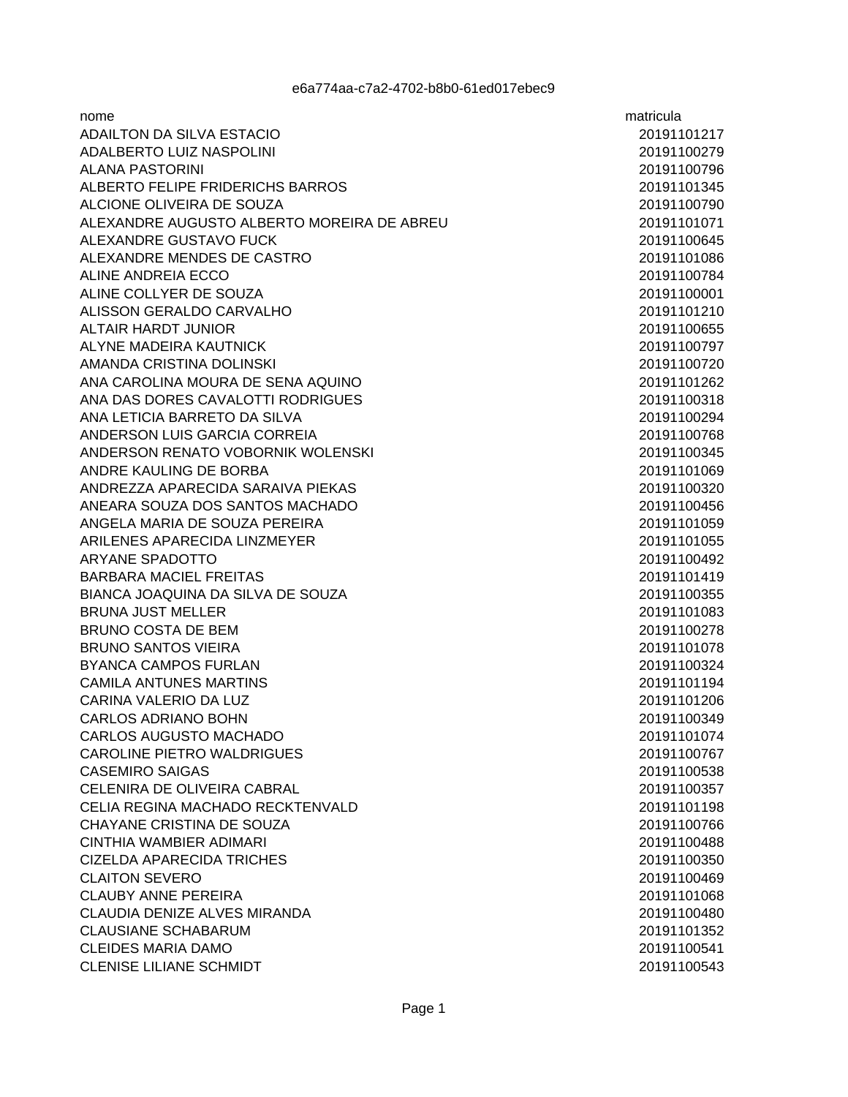| nome                                       | matricula   |
|--------------------------------------------|-------------|
| ADAILTON DA SILVA ESTACIO                  | 20191101217 |
| ADALBERTO LUIZ NASPOLINI                   | 20191100279 |
| <b>ALANA PASTORINI</b>                     | 20191100796 |
| ALBERTO FELIPE FRIDERICHS BARROS           | 20191101345 |
| ALCIONE OLIVEIRA DE SOUZA                  | 20191100790 |
| ALEXANDRE AUGUSTO ALBERTO MOREIRA DE ABREU | 20191101071 |
| ALEXANDRE GUSTAVO FUCK                     | 20191100645 |
| ALEXANDRE MENDES DE CASTRO                 | 20191101086 |
| ALINE ANDREIA ECCO                         | 20191100784 |
| ALINE COLLYER DE SOUZA                     | 20191100001 |
| ALISSON GERALDO CARVALHO                   | 20191101210 |
| <b>ALTAIR HARDT JUNIOR</b>                 | 20191100655 |
| ALYNE MADEIRA KAUTNICK                     | 20191100797 |
| AMANDA CRISTINA DOLINSKI                   | 20191100720 |
| ANA CAROLINA MOURA DE SENA AQUINO          | 20191101262 |
| ANA DAS DORES CAVALOTTI RODRIGUES          | 20191100318 |
| ANA LETICIA BARRETO DA SILVA               | 20191100294 |
| ANDERSON LUIS GARCIA CORREIA               | 20191100768 |
| ANDERSON RENATO VOBORNIK WOLENSKI          | 20191100345 |
| ANDRE KAULING DE BORBA                     | 20191101069 |
| ANDREZZA APARECIDA SARAIVA PIEKAS          | 20191100320 |
| ANEARA SOUZA DOS SANTOS MACHADO            | 20191100456 |
| ANGELA MARIA DE SOUZA PEREIRA              | 20191101059 |
| ARILENES APARECIDA LINZMEYER               | 20191101055 |
| ARYANE SPADOTTO                            | 20191100492 |
| <b>BARBARA MACIEL FREITAS</b>              | 20191101419 |
| BIANCA JOAQUINA DA SILVA DE SOUZA          | 20191100355 |
| <b>BRUNA JUST MELLER</b>                   | 20191101083 |
| <b>BRUNO COSTA DE BEM</b>                  | 20191100278 |
| <b>BRUNO SANTOS VIEIRA</b>                 | 20191101078 |
| <b>BYANCA CAMPOS FURLAN</b>                | 20191100324 |
| <b>CAMILA ANTUNES MARTINS</b>              | 20191101194 |
| CARINA VALERIO DA LUZ                      | 20191101206 |
| <b>CARLOS ADRIANO BOHN</b>                 | 20191100349 |
| CARLOS AUGUSTO MACHADO                     | 20191101074 |
| CAROLINE PIETRO WALDRIGUES                 | 20191100767 |
| <b>CASEMIRO SAIGAS</b>                     | 20191100538 |
| CELENIRA DE OLIVEIRA CABRAL                | 20191100357 |
| CELIA REGINA MACHADO RECKTENVALD           | 20191101198 |
| CHAYANE CRISTINA DE SOUZA                  | 20191100766 |
| CINTHIA WAMBIER ADIMARI                    | 20191100488 |
| CIZELDA APARECIDA TRICHES                  | 20191100350 |
| <b>CLAITON SEVERO</b>                      | 20191100469 |
| <b>CLAUBY ANNE PEREIRA</b>                 | 20191101068 |
| CLAUDIA DENIZE ALVES MIRANDA               | 20191100480 |
| <b>CLAUSIANE SCHABARUM</b>                 | 20191101352 |
| <b>CLEIDES MARIA DAMO</b>                  | 20191100541 |
| <b>CLENISE LILIANE SCHMIDT</b>             | 20191100543 |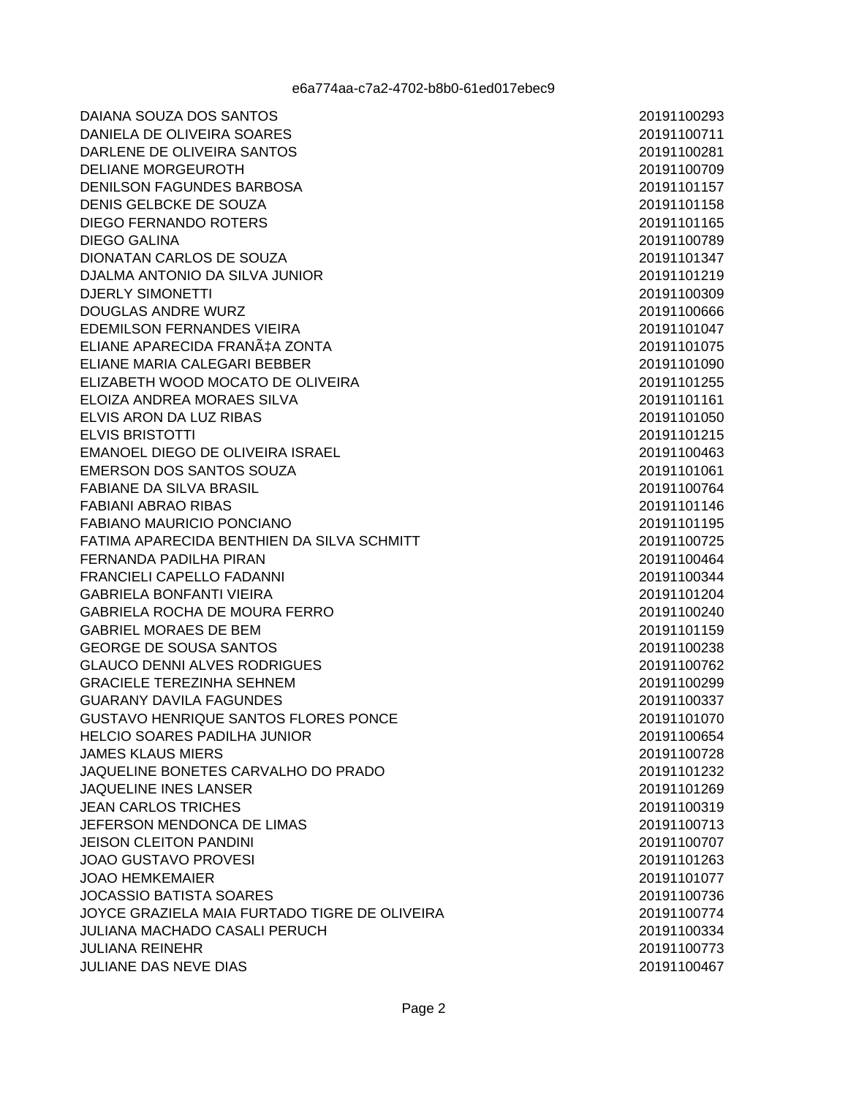DAIANA SOUZA DOS SANTOS DANIELA DE OLIVEIRA SOARES DARLENE DE OLIVEIRA SANTOS **DELIANE MORGEUROTH** DENILSON FAGUNDES BARBOSA DENIS GELBCKE DE SOUZA **DIEGO FERNANDO ROTERS DIEGO GALINA** DIONATAN CARLOS DE SOUZA DJALMA ANTONIO DA SILVA JUNIOR **DJERLY SIMONETTI DOUGLAS ANDRE WURZ EDEMILSON FERNANDES VIEIRA** ELIANE APARECIDA FRANÇA ZONTA ELIANE MARIA CALEGARI BEBBER ELIZABETH WOOD MOCATO DE OLIVEIRA ELOIZA ANDREA MORAES SILVA ELVIS ARON DA LUZ RIBAS **ELVIS BRISTOTTI** EMANOEL DIEGO DE OLIVEIRA ISRAEL EMERSON DOS SANTOS SOUZA **FABIANE DA SILVA BRASIL FABIANI ABRAO RIBAS** FABIANO MAURICIO PONCIANO FATIMA APARECIDA BENTHIEN DA SILVA SCHMITT FERNANDA PADILHA PIRAN **FRANCIELI CAPELLO FADANNI GABRIELA BONFANTI VIEIRA GABRIELA ROCHA DE MOURA FERRO GABRIEL MORAES DE BEM GEORGE DE SOUSA SANTOS GLAUCO DENNI ALVES RODRIGUES GRACIELE TEREZINHA SEHNEM GUARANY DAVILA FAGUNDES GUSTAVO HENRIQUE SANTOS FLORES PONCE** HELCIO SOARES PADILHA JUNIOR **JAMES KLAUS MIERS** JAQUELINE BONETES CARVALHO DO PRADO **JAQUELINE INES LANSER JEAN CARLOS TRICHES** JEFERSON MENDONCA DE LIMAS **JEISON CLEITON PANDINI JOAO GUSTAVO PROVESI JOAO HEMKEMAIER JOCASSIO BATISTA SOARES** JOYCE GRAZIELA MAIA FURTADO TIGRE DE OLIVEIRA **JULIANA MACHADO CASALI PERUCH JULIANA REINEHR** JULIANE DAS NEVE DIAS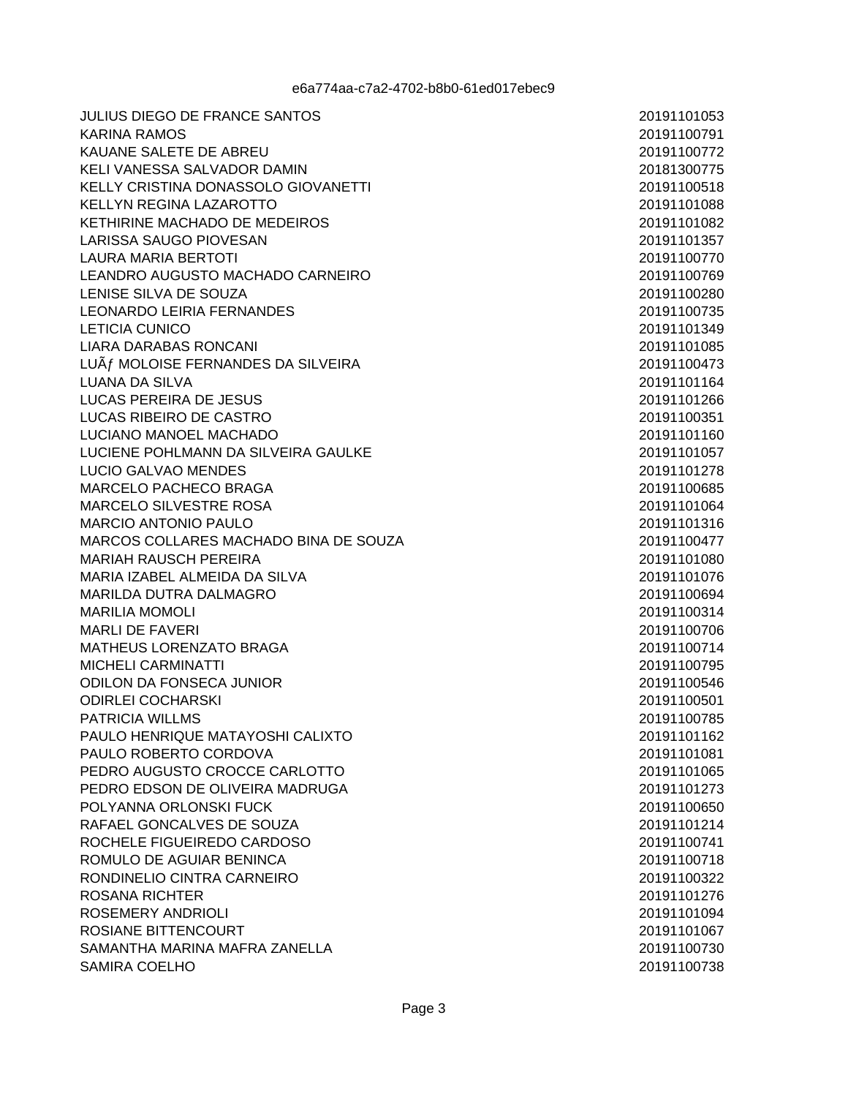| <b>JULIUS DIEGO DE FRANCE SANTOS</b>                   | 20191101053                |
|--------------------------------------------------------|----------------------------|
| <b>KARINA RAMOS</b>                                    | 20191100791                |
| KAUANE SALETE DE ABREU                                 | 20191100772                |
| KELI VANESSA SALVADOR DAMIN                            | 20181300775                |
| KELLY CRISTINA DONASSOLO GIOVANETTI                    | 20191100518                |
| <b>KELLYN REGINA LAZAROTTO</b>                         | 20191101088                |
| KETHIRINE MACHADO DE MEDEIROS                          | 20191101082                |
| <b>LARISSA SAUGO PIOVESAN</b>                          | 20191101357                |
| <b>LAURA MARIA BERTOTI</b>                             | 20191100770                |
| LEANDRO AUGUSTO MACHADO CARNEIRO                       | 20191100769                |
| LENISE SILVA DE SOUZA                                  | 20191100280                |
| <b>LEONARDO LEIRIA FERNANDES</b>                       | 20191100735                |
| <b>LETICIA CUNICO</b>                                  | 20191101349                |
| <b>LIARA DARABAS RONCANI</b>                           | 20191101085                |
| LUÃ fMOLOISE FERNANDES DA SILVEIRA                     | 20191100473                |
| LUANA DA SILVA                                         | 20191101164                |
| <b>LUCAS PEREIRA DE JESUS</b>                          | 20191101266                |
| LUCAS RIBEIRO DE CASTRO                                | 20191100351                |
| LUCIANO MANOEL MACHADO                                 | 20191101160                |
| LUCIENE POHLMANN DA SILVEIRA GAULKE                    | 20191101057                |
| LUCIO GALVAO MENDES                                    | 20191101278                |
| MARCELO PACHECO BRAGA                                  | 20191100685                |
| MARCELO SILVESTRE ROSA                                 | 20191101064                |
| <b>MARCIO ANTONIO PAULO</b>                            | 20191101316                |
| MARCOS COLLARES MACHADO BINA DE SOUZA                  | 20191100477                |
| <b>MARIAH RAUSCH PEREIRA</b>                           | 20191101080                |
| MARIA IZABEL ALMEIDA DA SILVA                          | 20191101076                |
| MARILDA DUTRA DALMAGRO                                 | 20191100694                |
| <b>MARILIA MOMOLI</b>                                  | 20191100314                |
| <b>MARLI DE FAVERI</b>                                 | 20191100706                |
| <b>MATHEUS LORENZATO BRAGA</b>                         | 20191100714                |
| MICHELI CARMINATTI                                     | 20191100795                |
| <b>ODILON DA FONSECA JUNIOR</b>                        | 20191100546                |
| <b>ODIRLEI COCHARSKI</b>                               | 20191100501                |
| <b>PATRICIA WILLMS</b>                                 | 20191100785                |
| PAULO HENRIQUE MATAYOSHI CALIXTO                       | 20191101162                |
| PAULO ROBERTO CORDOVA                                  | 20191101081                |
| PEDRO AUGUSTO CROCCE CARLOTTO                          | 20191101065                |
| PEDRO EDSON DE OLIVEIRA MADRUGA                        | 20191101273                |
| POLYANNA ORLONSKI FUCK                                 | 20191100650                |
| RAFAEL GONCALVES DE SOUZA                              | 20191101214<br>20191100741 |
| ROCHELE FIGUEIREDO CARDOSO<br>ROMULO DE AGUIAR BENINCA |                            |
|                                                        | 20191100718                |
| RONDINELIO CINTRA CARNEIRO                             | 20191100322                |
| <b>ROSANA RICHTER</b>                                  | 20191101276                |
| ROSEMERY ANDRIOLI                                      | 20191101094                |
| ROSIANE BITTENCOURT<br>SAMANTHA MARINA MAFRA ZANELLA   | 20191101067<br>20191100730 |
|                                                        |                            |
| SAMIRA COELHO                                          | 20191100738                |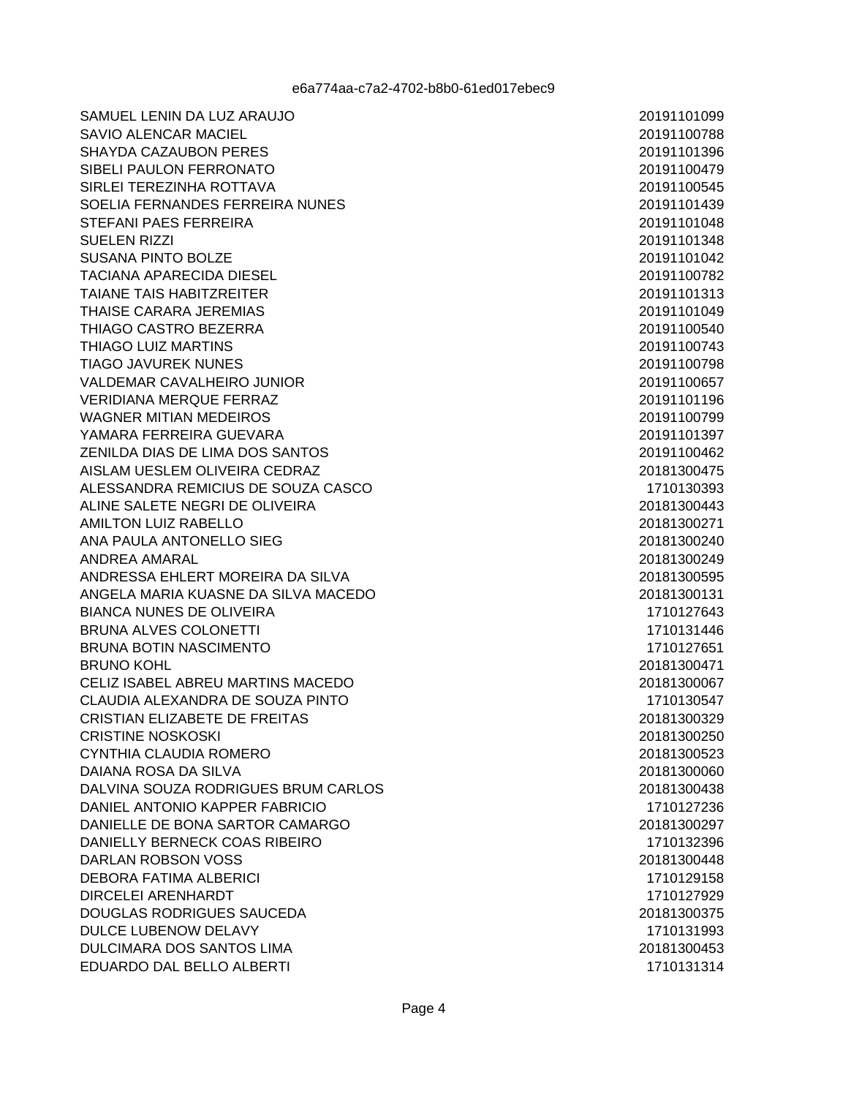SAMUEL LENIN DA LUZ ARAUJO **SAVIO ALENCAR MACIEL** SHAYDA CAZAUBON PERES SIBELI PAULON FERRONATO SIRLEI TEREZINHA ROTTAVA SOELIA FERNANDES FERREIRA NUNES **STEFANI PAES FERREIRA SUELEN RIZZI SUSANA PINTO BOLZE TACIANA APARECIDA DIESEL TAIANF TAIS HARITZREITER** THAISE CARARA JEREMIAS THIAGO CASTRO BEZERRA THIAGO LUIZ MARTINS **TIAGO JAVUREK NUNES** VALDEMAR CAVALHEIRO JUNIOR **VERIDIANA MERQUE FERRAZ WAGNER MITIAN MEDEIROS** YAMARA FERREIRA GUEVARA ZENILDA DIAS DE LIMA DOS SANTOS AISLAM UESLEM OLIVEIRA CEDRAZ ALESSANDRA REMICIUS DE SOUZA CASCO ALINE SALETE NEGRI DE OLIVEIRA **AMILTON LUIZ RABELLO** ANA PAULA ANTONELLO SIEG **ANDREA AMARAL** ANDRESSA EHLERT MOREIRA DA SILVA ANGELA MARIA KUASNE DA SILVA MACEDO **BIANCA NUNES DE OLIVEIRA** BRUNA ALVES COLONETTI **BRUNA BOTIN NASCIMENTO BRUNO KOHL** CELIZ ISABEL ABREU MARTINS MACEDO CLAUDIA ALEXANDRA DE SOUZA PINTO CRISTIAN ELIZABETE DE FREITAS CRISTINE NOSKOSKI CYNTHIA CLAUDIA ROMERO DAIANA ROSA DA SILVA DALVINA SOUZA RODRIGUES BRUM CARLOS DANIEL ANTONIO KAPPER FABRICIO DANIELLE DE BONA SARTOR CAMARGO DANIELLY BERNECK COAS RIBEIRO **DARLAN ROBSON VOSS DEBORA FATIMA ALBERICI DIRCELEI ARENHARDT DOUGLAS RODRIGUES SAUCEDA** DULCE LUBENOW DELAVY **DULCIMARA DOS SANTOS LIMA** EDUARDO DAL BELLO ALBERTI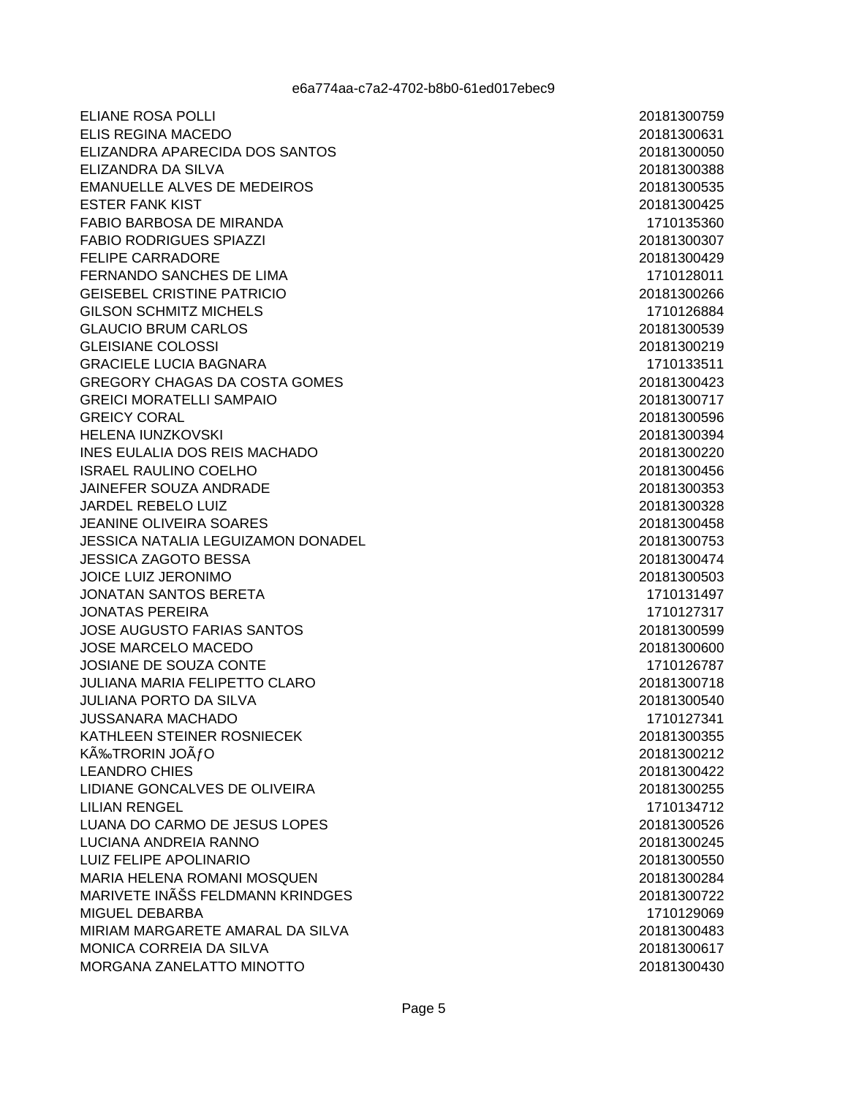**ELIANE ROSA POLLI** ELIS REGINA MACEDO ELIZANDRA APARECIDA DOS SANTOS ELIZANDRA DA SILVA **EMANUELLE ALVES DE MEDEIROS ESTER FANK KIST** FABIO BARBOSA DE MIRANDA **FABIO RODRIGUES SPIAZZI FELIPE CARRADORE** FERNANDO SANCHES DE LIMA GEISEREL CRISTINE PATRICIO **GILSON SCHMITZ MICHELS GLAUCIO BRUM CARLOS GLEISIANE COLOSSI GRACIELE LUCIA BAGNARA** GREGORY CHAGAS DA COSTA GOMES **GREICI MORATELLI SAMPAIO GREICY CORAL HELENA IUNZKOVSKI** INES EULALIA DOS REIS MACHADO **ISRAEL RAULINO COELHO** JAINEFER SOUZA ANDRADE **JARDEL REBELO LUIZ JEANINE OLIVEIRA SOARES JESSICA NATALIA LEGUIZAMON DONADEL JESSICA ZAGOTO BESSA JOICE LUIZ JERONIMO** JONATAN SANTOS BERETA **JONATAS PEREIRA JOSE AUGUSTO FARIAS SANTOS JOSE MARCELO MACEDO JOSIANE DE SOUZA CONTE JULIANA MARIA FELIPETTO CLARO JULIANA PORTO DA SILVA JUSSANARA MACHADO** KATHLEEN STEINER ROSNIECEK KÉTRORIN JOÃfO **LEANDRO CHIES** LIDIANE GONCALVES DE OLIVEIRA **LILIAN RENGEL** LUANA DO CARMO DE JESUS LOPES LUCIANA ANDREIA RANNO LUIZ FELIPE APOLINARIO MARIA HELENA ROMANI MOSQUEN MARIVETE INÊS FELDMANN KRINDGES MIGUEL DEBARBA MIRIAM MARGARETE AMARAL DA SILVA **MONICA CORREIA DA SILVA** MORGANA ZANELATTO MINOTTO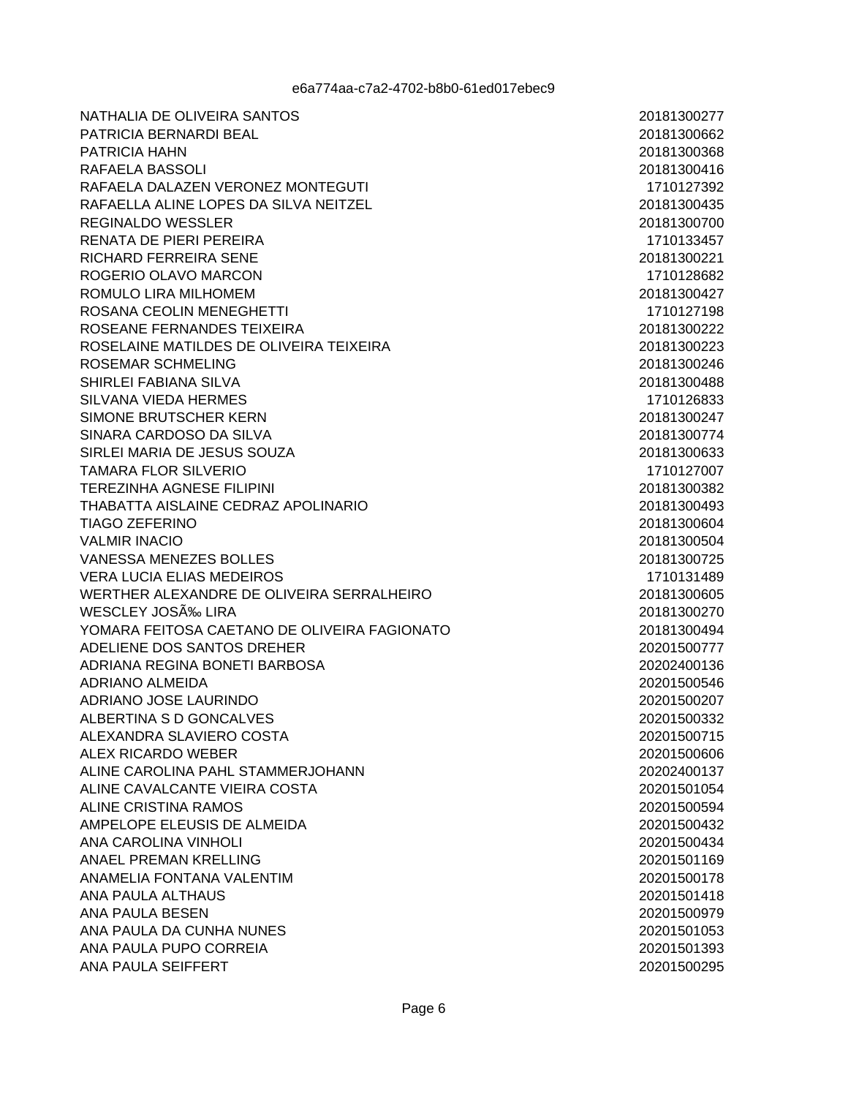NATHALIA DE OLIVEIRA SANTOS PATRICIA BERNARDI BEAL PATRICIA HAHN RAFAELA BASSOLI RAFAELA DALAZEN VERONEZ MONTEGUTI RAFAELLA ALINE LOPES DA SILVA NEITZEL **REGINALDO WESSLER RENATA DE PIERI PEREIRA** RICHARD FERREIRA SENE ROGERIO OLAVO MARCON ROMULO LIRA MILHOMEM ROSANA CEOLIN MENEGHETTI ROSEANE FERNANDES TEIXEIRA ROSELAINE MATILDES DE OLIVEIRA TEIXEIRA **ROSEMAR SCHMELING** SHIRLEI FABIANA SILVA SILVANA VIEDA HERMES SIMONE BRUTSCHER KERN SINARA CARDOSO DA SILVA SIRLEI MARIA DE JESUS SOUZA **TAMARA FLOR SILVERIO TEREZINHA AGNESE FILIPINI** THABATTA AISLAINE CEDRAZ APOLINARIO **TIAGO ZEFERINO VALMIR INACIO VANESSA MENEZES BOLLES VERA LUCIA ELIAS MEDEIROS** WERTHER ALEXANDRE DE OLIVEIRA SERRALHEIRO **WESCLEY JOSÉ LIRA** YOMARA FEITOSA CAETANO DE OLIVEIRA FAGIONATO ADELIENE DOS SANTOS DREHER ADRIANA REGINA BONETI BARBOSA **ADRIANO ALMEIDA** ADRIANO JOSE LAURINDO ALBERTINA S D GONCALVES ALEXANDRA SLAVIERO COSTA ALEX RICARDO WEBER ALINE CAROLINA PAHL STAMMERJOHANN ALINE CAVALCANTE VIEIRA COSTA ALINE CRISTINA RAMOS AMPELOPE ELEUSIS DE ALMEIDA ANA CAROLINA VINHOLI **ANAEL PREMAN KRELLING** ANAMELIA FONTANA VALENTIM **ANA PAULA ALTHAUS ANA PAULA BESEN** ANA PAULA DA CUNHA NUNES ANA PAULA PUPO CORREIA ANA PAULA SEIFFERT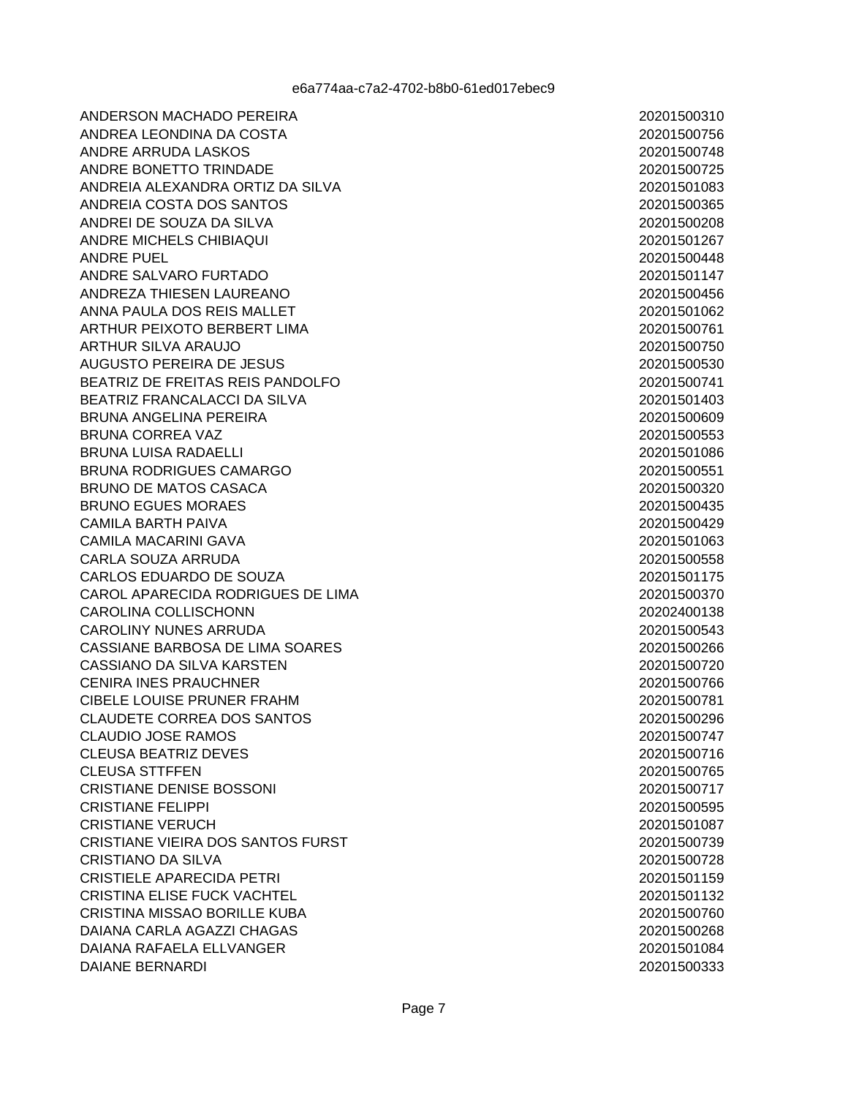ANDERSON MACHADO PEREIRA ANDREA LEONDINA DA COSTA ANDRE ARRUDA LASKOS ANDRE BONETTO TRINDADE ANDREIA ALEXANDRA ORTIZ DA SILVA ANDREIA COSTA DOS SANTOS ANDREI DE SOUZA DA SILVA ANDRE MICHELS CHIBIAQUI **ANDRE PUEL** ANDRE SALVARO FURTADO ANDREZA THIESEN LAUREANO ANNA PAULA DOS REIS MALLET ARTHUR PEIXOTO BERBERT LIMA **ARTHUR SILVA ARAUJO AUGUSTO PEREIRA DE JESUS** BEATRIZ DE FREITAS REIS PANDOLFO BEATRIZ FRANCALACCI DA SILVA **BRUNA ANGELINA PEREIRA BRUNA CORREA VAZ BRUNA LUISA RADAELLI BRUNA RODRIGUES CAMARGO BRUNO DE MATOS CASACA BRUNO EGUES MORAES CAMILA BARTH PAIVA CAMILA MACARINI GAVA CARLA SOUZA ARRUDA** CARLOS EDUARDO DE SOUZA CAROL APARECIDA RODRIGUES DE LIMA CAROLINA COLLISCHONN **CAROLINY NUNES ARRUDA** CASSIANE BARBOSA DE LIMA SOARES CASSIANO DA SILVA KARSTEN **CENIRA INES PRAUCHNER** CIBELE LOUISE PRUNER FRAHM **CLAUDETE CORREA DOS SANTOS CLAUDIO JOSE RAMOS CLEUSA BEATRIZ DEVES CLEUSA STTFFEN CRISTIANE DENISE BOSSONI CRISTIANE FELIPPI CRISTIANE VERUCH** CRISTIANE VIEIRA DOS SANTOS FURST **CRISTIANO DA SILVA CRISTIELE APARECIDA PETRI CRISTINA ELISE FUCK VACHTEL CRISTINA MISSAO BORILLE KUBA** DAIANA CARLA AGAZZI CHAGAS **DAIANA RAFAELA ELLVANGER DAIANE BERNARDI**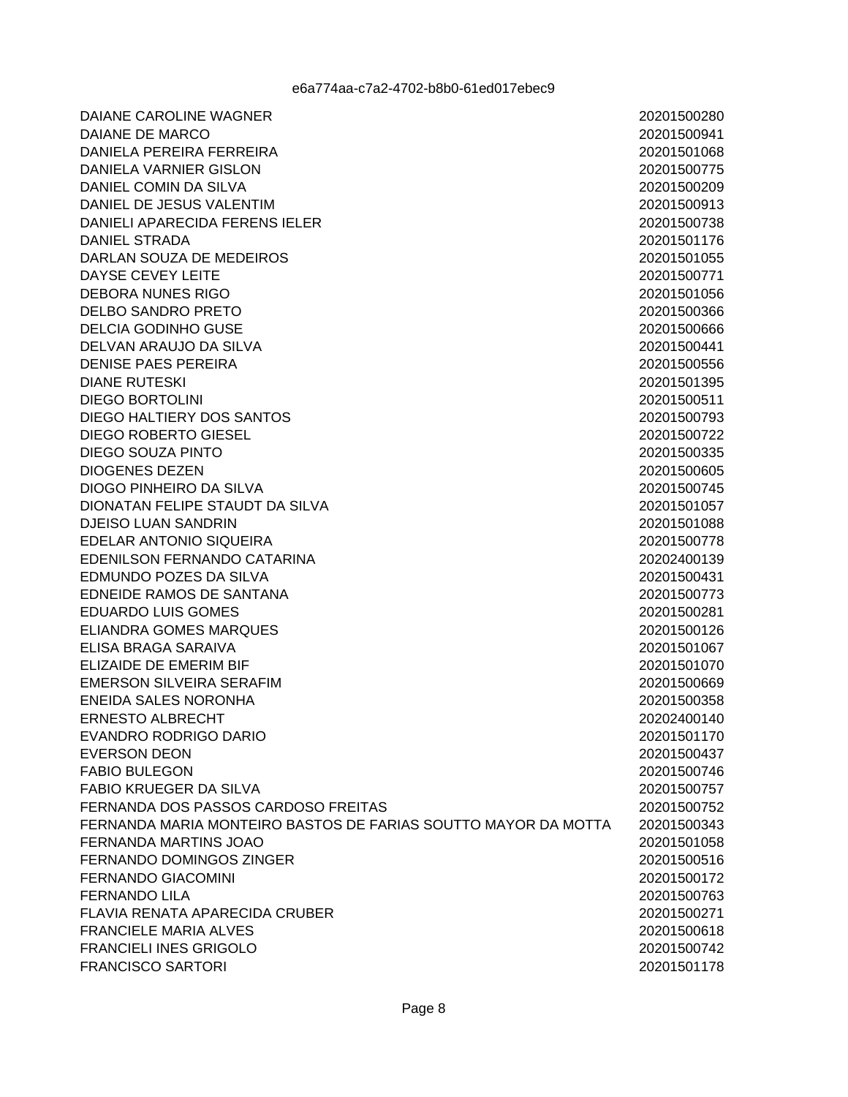20201500280

20201500941

20201501068

20201500775

20201500209

20201500913

20201500738

20201501176

20201501055

20201500771

20201501056

20201500366

20201500666

20201500441

20201500556

20201501395

20201500511

20201500793

20201500722

20201500335

20201500605

20201500745

20201501057

20201501088

20201500778

20202400139

20201500431

20201500773

20201500281

20201500126

20201501067

20201501070

20201500669

20201500358

20202400140

20201501170

20201500437

20201500746

20201500757

20201500752

20201500343

20201501058

20201500516

20201500172

20201500763

20201500271

20201500618

20201500742

20201501178

**DAIANE CAROLINE WAGNER** DAIANE DE MARCO DANIELA PEREIRA FERREIRA **DANIELA VARNIER GISLON** DANIEL COMIN DA SILVA DANIEL DE JESUS VALENTIM DANIELI APARECIDA FERENS IELER DANIEL STRADA DARLAN SOUZA DE MEDEIROS **DAYSE CEVEY LEITE** DEBORA NUNES RIGO **DELBO SANDRO PRETO DELCIA GODINHO GUSE** DELVAN ARAUJO DA SILVA **DENISE PAES PEREIRA DIANE RUTESKI DIEGO BORTOLINI** DIEGO HALTIERY DOS SANTOS **DIEGO ROBERTO GIESEL** DIEGO SOUZA PINTO **DIOGENES DEZEN** DIOGO PINHEIRO DA SILVA DIONATAN FELIPE STAUDT DA SILVA DJEISO LUAN SANDRIN EDELAR ANTONIO SIQUEIRA EDENILSON FERNANDO CATARINA EDMUNDO POZES DA SILVA EDNEIDE RAMOS DE SANTANA **EDUARDO LUIS GOMES ELIANDRA GOMES MARQUES** ELISA BRAGA SARAIVA ELIZAIDE DE EMERIM BIF **EMERSON SILVEIRA SERAFIM** ENEIDA SALES NORONHA **ERNESTO ALBRECHT** EVANDRO RODRIGO DARIO **EVERSON DEON FABIO BULEGON FABIO KRUEGER DA SILVA** FERNANDA DOS PASSOS CARDOSO FREITAS FERNANDA MARIA MONTEIRO BASTOS DE FARIAS SOUTTO MAYOR DA MOTTA FERNANDA MARTINS JOAO FERNANDO DOMINGOS ZINGER **FERNANDO GIACOMINI FERNANDO LILA FLAVIA RENATA APARECIDA CRUBER FRANCIELE MARIA ALVES FRANCIELI INES GRIGOLO FRANCISCO SARTORI**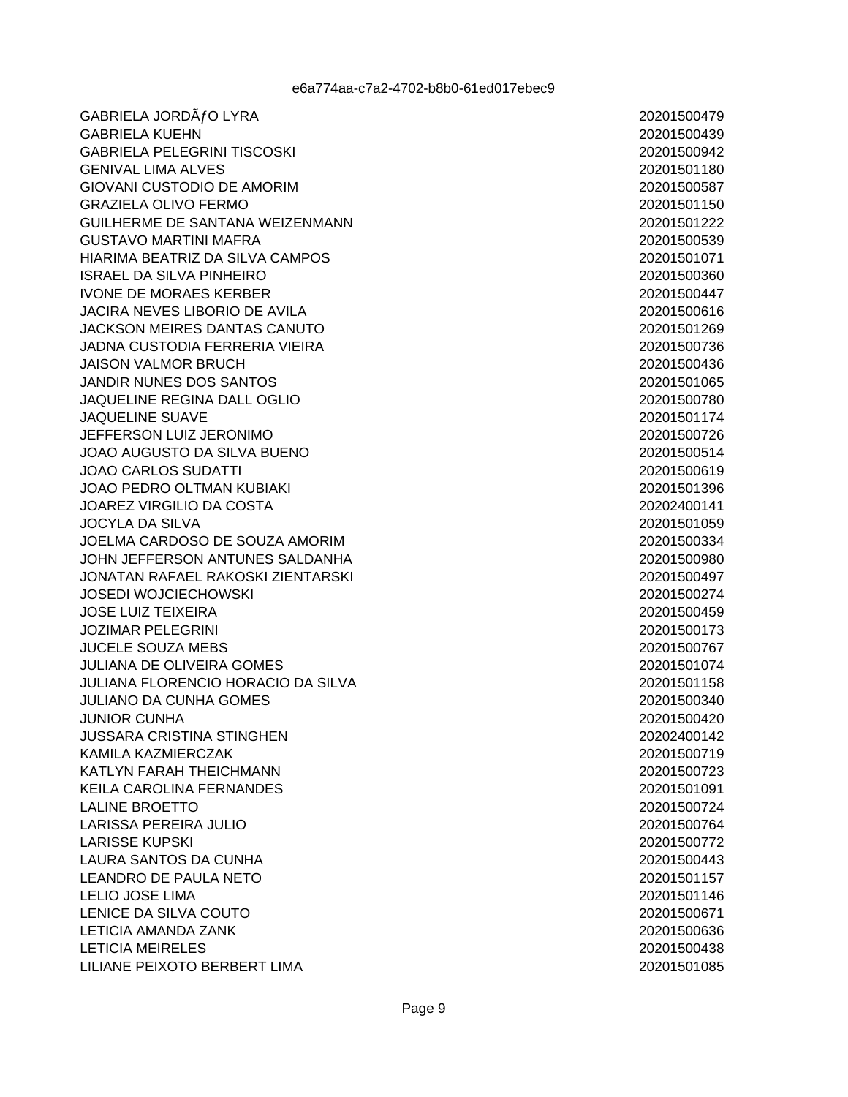GABRIELA JORDÃ FO LYRA **GABRIELA KUEHN GABRIELA PELEGRINI TISCOSKI GENIVAL LIMA ALVES GIOVANI CUSTODIO DE AMORIM GRAZIELA OLIVO FERMO** GUILHERME DE SANTANA WEIZENMANN **GUSTAVO MARTINI MAFRA** HIARIMA BEATRIZ DA SILVA CAMPOS **ISRAEL DA SILVA PINHEIRO IVONE DE MORAES KERBER JACIRA NEVES LIBORIO DE AVILA JACKSON MEIRES DANTAS CANUTO JADNA CUSTODIA FERRERIA VIEIRA JAISON VALMOR BRUCH** JANDIR NUNES DOS SANTOS JAQUELINE REGINA DALL OGLIO **JAQUELINE SUAVE** JEFFERSON LUIZ JERONIMO JOAO AUGUSTO DA SILVA BUENO **JOAO CARLOS SUDATTI** JOAO PEDRO OLTMAN KUBIAKI **JOAREZ VIRGILIO DA COSTA JOCYLA DA SILVA** JOELMA CARDOSO DE SOUZA AMORIM JOHN JEFFERSON ANTUNES SALDANHA **JONATAN RAFAEL RAKOSKI ZIENTARSKI JOSEDI WOJCIECHOWSKI JOSE LUIZ TEIXEIRA JOZIMAR PELEGRINI JUCELE SOUZA MEBS JULIANA DE OLIVEIRA GOMES JULIANA FLORENCIO HORACIO DA SILVA JULIANO DA CUNHA GOMES JUNIOR CUNHA JUSSARA CRISTINA STINGHEN** KAMILA KAZMIERCZAK KATLYN FARAH THEICHMANN **KEILA CAROLINA FERNANDES LALINE BROETTO** LARISSA PEREIRA JULIO **LARISSE KUPSKI LAURA SANTOS DA CUNHA LEANDRO DE PAULA NETO LELIO JOSE LIMA LENICE DA SILVA COUTO LETICIA AMANDA ZANK LETICIA MEIRELES** LILIANE PEIXOTO BERBERT LIMA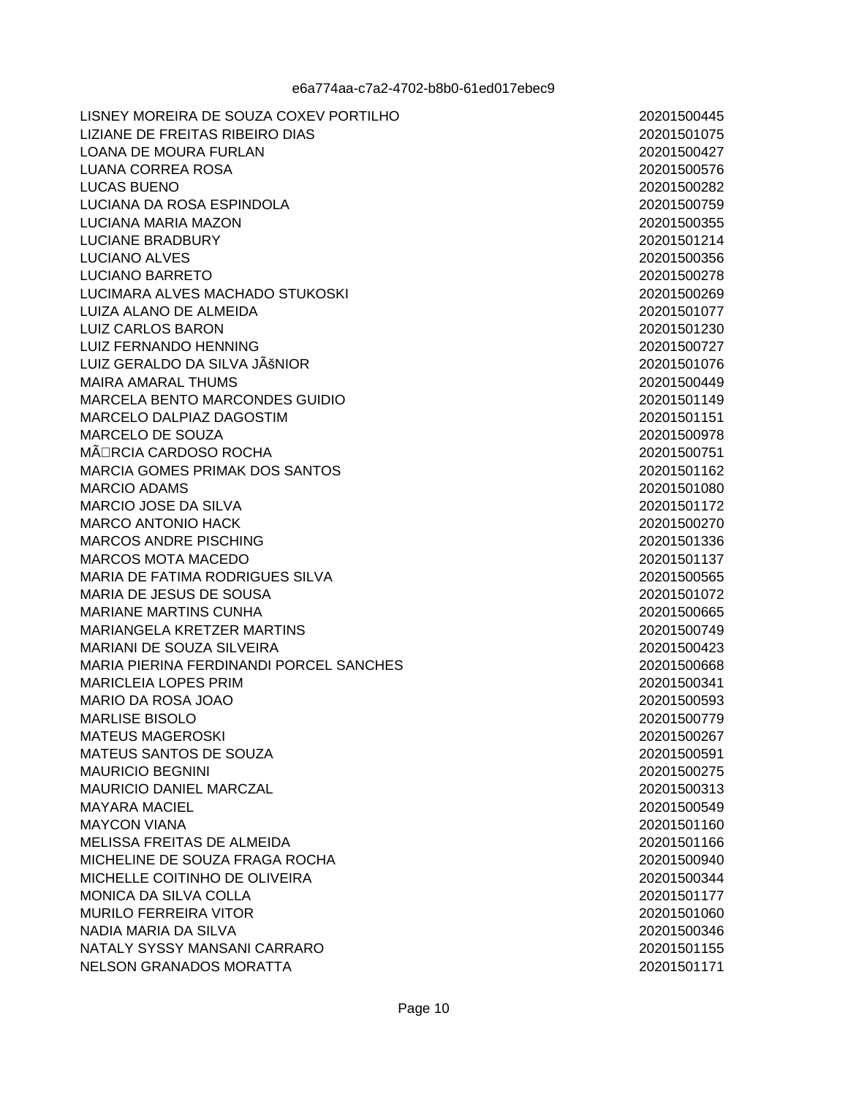LISNEY MOREIRA DE SOUZA COXEV PORTILHO LIZIANE DE FREITAS RIBEIRO DIAS LOANA DE MOURA FURLAN **LUANA CORREA ROSA LUCAS BUENO** LUCIANA DA ROSA ESPINDOLA LUCIANA MARIA MAZON **LUCIANE BRADBURY** LUCIANO ALVES **LUCIANO BARRETO** LUCIMARA ALVES MACHADO STUKOSKI LUIZA ALANO DE ALMEIDA **LUIZ CARLOS BARON LUIZ FERNANDO HENNING** LUIZ GERALDO DA SILVA JÊNIOR **MAIRA AMARAL THUMS** MARCELA BENTO MARCONDES GUIDIO MARCELO DALPIAZ DAGOSTIM MARCELO DE SOUZA MÃ⊡RCIA CARDOSO ROCHA **MARCIA GOMES PRIMAK DOS SANTOS MARCIO ADAMS MARCIO JOSE DA SILVA MARCO ANTONIO HACK MARCOS ANDRE PISCHING MARCOS MOTA MACEDO MARIA DE FATIMA RODRIGUES SILVA** MARIA DE JESUS DE SOUSA **MARIANE MARTINS CUNHA** MARIANGELA KRETZER MARTINS **MARIANI DE SOUZA SILVEIRA MARIA PIERINA FERDINANDI PORCEL SANCHES MARICLEIA LOPES PRIM** MARIO DA ROSA JOAO **MARLISE BISOLO MATEUS MAGEROSKI** MATEUS SANTOS DE SOUZA **MAURICIO BEGNINI MAURICIO DANIEL MARCZAL MAYARA MACIEL MAYCON VIANA** MELISSA FREITAS DE ALMEIDA MICHELINE DE SOUZA FRAGA ROCHA MICHELLE COITINHO DE OLIVEIRA **MONICA DA SILVA COLLA MURILO FERREIRA VITOR** NADIA MARIA DA SILVA NATALY SYSSY MANSANI CARRARO **NELSON GRANADOS MORATTA**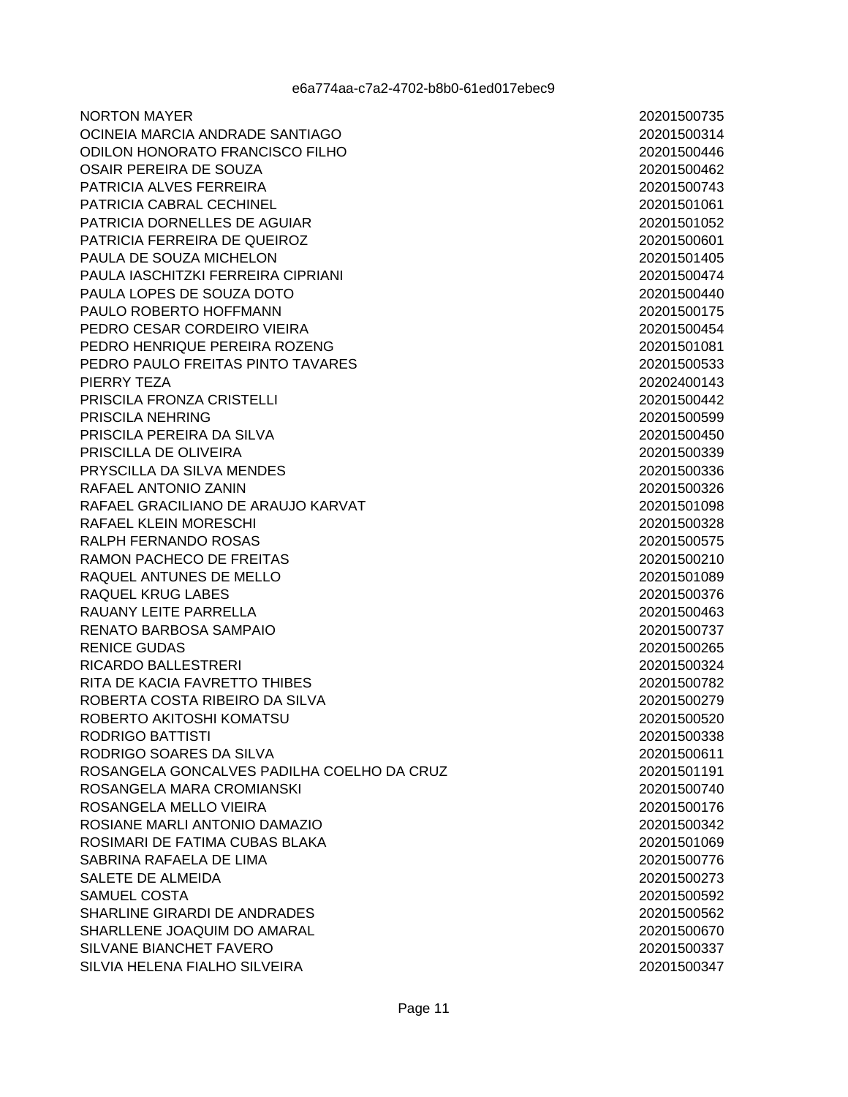**NORTON MAYER** OCINEIA MARCIA ANDRADE SANTIAGO ODILON HONORATO FRANCISCO FILHO OSAIR PEREIRA DE SOUZA PATRICIA ALVES FERREIRA PATRICIA CABRAL CECHINEL PATRICIA DORNELLES DE AGUIAR PATRICIA FERREIRA DE QUEIROZ PAULA DE SOUZA MICHELON PAULA IASCHITZKI FERREIRA CIPRIANI PAULA LOPES DE SOUZA DOTO PAULO ROBERTO HOFFMANN PEDRO CESAR CORDEIRO VIEIRA PEDRO HENRIQUE PEREIRA ROZENG PEDRO PAULO FREITAS PINTO TAVARES PIERRY TEZA PRISCILA FRONZA CRISTELLI PRISCILA NEHRING PRISCILA PEREIRA DA SILVA PRISCILLA DE OLIVEIRA PRYSCILLA DA SILVA MENDES RAFAEL ANTONIO ZANIN RAFAEL GRACILIANO DE ARAUJO KARVAT RAFAEL KLEIN MORESCHI RALPH FERNANDO ROSAS RAMON PACHECO DE FREITAS RAQUEL ANTUNES DE MELLO RAQUEL KRUG LABES RAUANY LEITE PARRELLA RENATO BARBOSA SAMPAIO **RENICE GUDAS RICARDO BALLESTRERI** RITA DE KACIA FAVRETTO THIBES ROBERTA COSTA RIBEIRO DA SILVA ROBERTO AKITOSHI KOMATSU RODRIGO BATTISTI RODRIGO SOARES DA SILVA ROSANGELA GONCALVES PADILHA COELHO DA CRUZ ROSANGELA MARA CROMIANSKI ROSANGELA MELLO VIEIRA ROSIANE MARLI ANTONIO DAMAZIO ROSIMARI DE FATIMA CUBAS BLAKA SABRINA RAFAELA DE LIMA **SALETE DE ALMEIDA SAMUEL COSTA** SHARLINE GIRARDI DE ANDRADES SHARLLENE JOAQUIM DO AMARAL SILVANE BIANCHET FAVERO SILVIA HELENA FIALHO SILVEIRA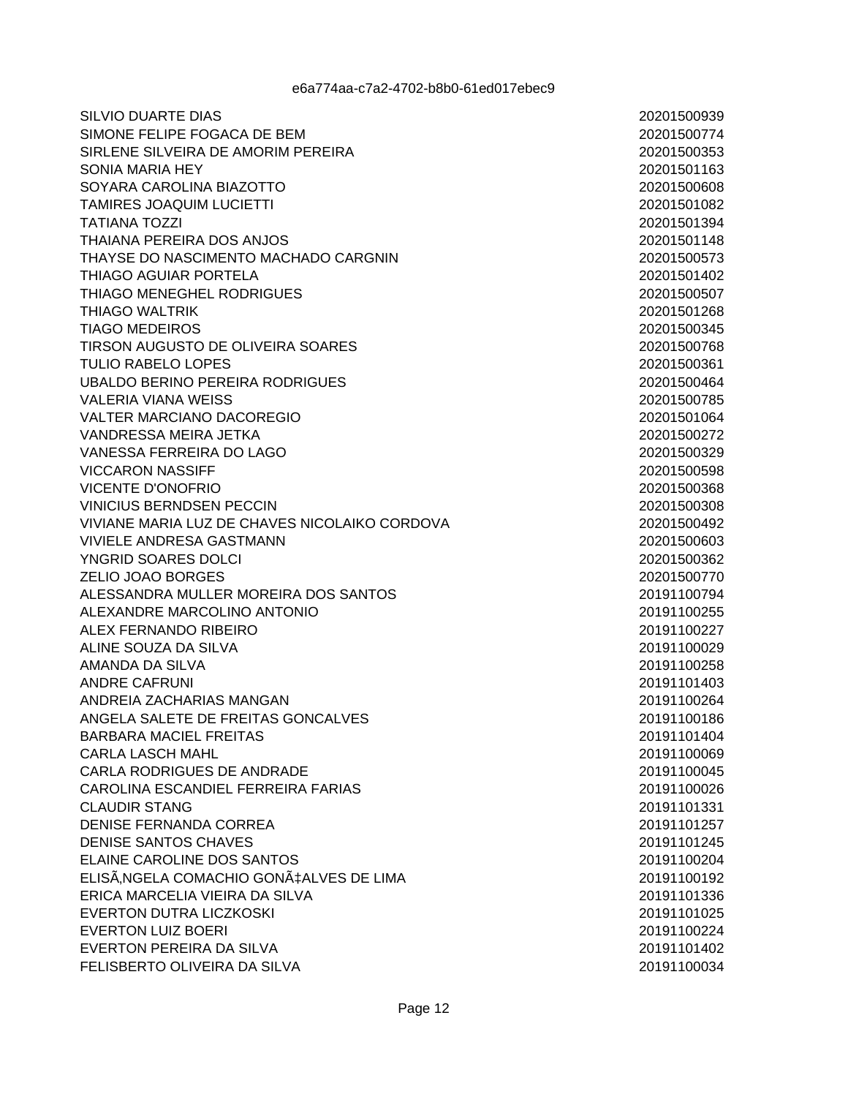**SILVIO DUARTE DIAS** SIMONE FELIPE FOGACA DE BEM SIRLENE SILVEIRA DE AMORIM PEREIRA SONIA MARIA HEY SOYARA CAROLINA BIAZOTTO TAMIRES JOAQUIM LUCIETTI **TATIANA TOZZI THAIANA PEREIRA DOS ANJOS** THAYSE DO NASCIMENTO MACHADO CARGNIN THIAGO AGUIAR PORTELA THIAGO MENEGHEL RODRIGUES **THIAGO WALTRIK TIAGO MEDEIROS** TIRSON AUGUSTO DE OLIVEIRA SOARES **TULIO RABELO LOPES UBALDO BERINO PEREIRA RODRIGUES VALERIA VIANA WEISS VALTER MARCIANO DACOREGIO** VANDRESSA MEIRA JETKA VANESSA FERREIRA DO LAGO **VICCARON NASSIFF VICENTE D'ONOFRIO VINICIUS BERNDSEN PECCIN** VIVIANE MARIA LUZ DE CHAVES NICOLAIKO CORDOVA **VIVIELE ANDRESA GASTMANN** YNGRID SOARES DOLCI **ZELIO JOAO BORGES** ALESSANDRA MULLER MOREIRA DOS SANTOS ALEXANDRE MARCOLINO ANTONIO ALEX FERNANDO RIBEIRO ALINE SOUZA DA SILVA AMANDA DA SILVA **ANDRE CAFRUNI** ANDREIA ZACHARIAS MANGAN ANGELA SALETE DE FREITAS GONCALVES **BARBARA MACIEL FREITAS CARLA LASCH MAHL** CARLA RODRIGUES DE ANDRADE CAROLINA ESCANDIEL FERREIRA FARIAS **CLAUDIR STANG** DENISE FERNANDA CORREA DENISE SANTOS CHAVES ELAINE CAROLINE DOS SANTOS ELISÃ.NGELA COMACHIO GONA‡ALVES DE LIMA ERICA MARCELIA VIEIRA DA SILVA **EVERTON DUTRA LICZKOSKI EVERTON LUIZ BOERI EVERTON PEREIRA DA SILVA** FELISBERTO OLIVEIRA DA SILVA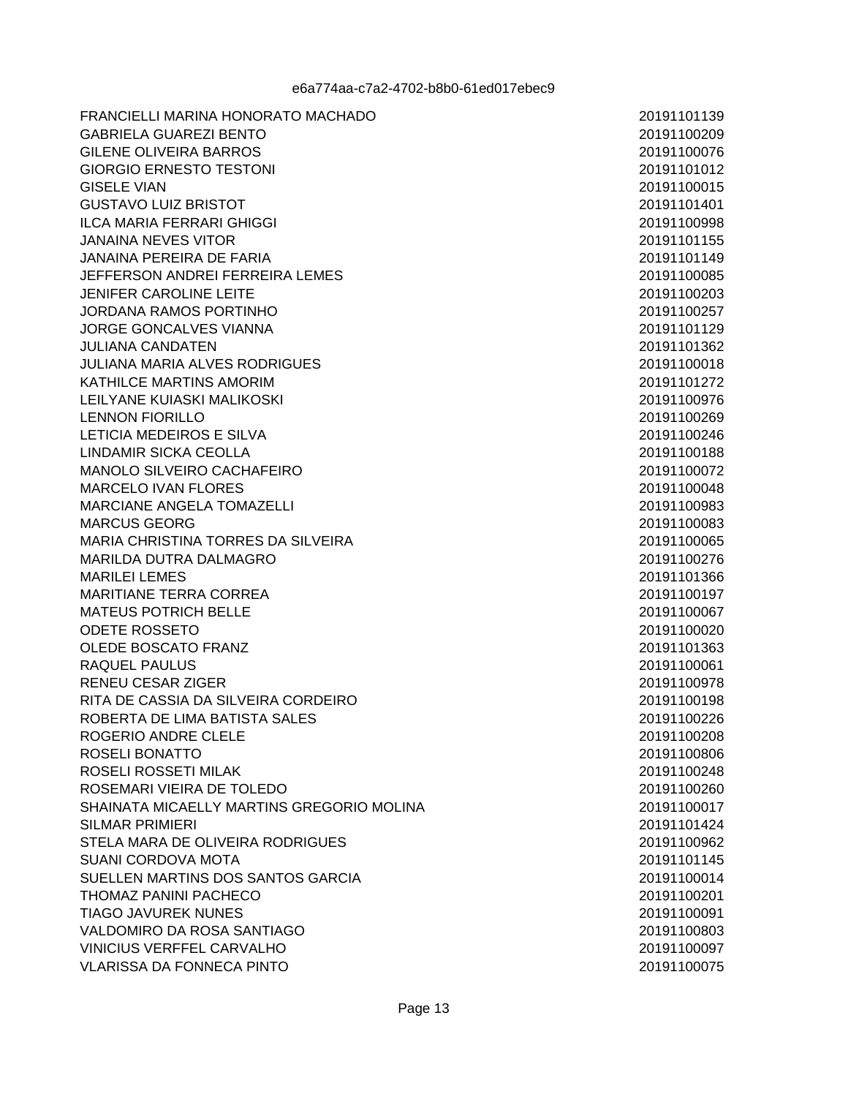FRANCIELLI MARINA HONORATO MACHADO **GABRIELA GUAREZI BENTO GILENE OLIVEIRA BARROS GIORGIO ERNESTO TESTONI GISELE VIAN GUSTAVO LUIZ BRISTOT ILCA MARIA FERRARI GHIGGI JANAINA NEVES VITOR** JANAINA PEREIRA DE FARIA JEFFERSON ANDREI FERREIRA LEMES JENIEER CAROLINE LEITE JORDANA RAMOS PORTINHO JORGE GONCALVES VIANNA **JULIANA CANDATEN JULIANA MARIA ALVES RODRIGUES** KATHILCE MARTINS AMORIM LEILYANE KUIASKI MALIKOSKI **LENNON FIORILLO** LETICIA MEDEIROS E SILVA LINDAMIR SICKA CEOLLA MANOLO SILVEIRO CACHAFEIRO **MARCELO IVAN FLORES MARCIANE ANGELA TOMAZELLI MARCUS GEORG** MARIA CHRISTINA TORRES DA SILVEIRA **MARILDA DUTRA DALMAGRO MARILEI LEMES MARITIANE TERRA CORREA MATEUS POTRICH BELLE** ODETE ROSSETO **OLEDE BOSCATO FRANZ RAOUEL PAULUS** RENEU CESAR ZIGER RITA DE CASSIA DA SILVEIRA CORDEIRO ROBERTA DE LIMA BATISTA SALES ROGERIO ANDRE CLELE ROSELI BONATTO ROSELI ROSSETI MILAK ROSEMARI VIEIRA DE TOLEDO SHAINATA MICAELLY MARTINS GREGORIO MOLINA **SILMAR PRIMIERI** STELA MARA DE OLIVEIRA RODRIGUES **SUANI CORDOVA MOTA** SUELLEN MARTINS DOS SANTOS GARCIA **THOMAZ PANINI PACHECO TIAGO JAVUREK NUNES** VALDOMIRO DA ROSA SANTIAGO **VINICIUS VERFFEL CARVALHO VLARISSA DA FONNECA PINTO**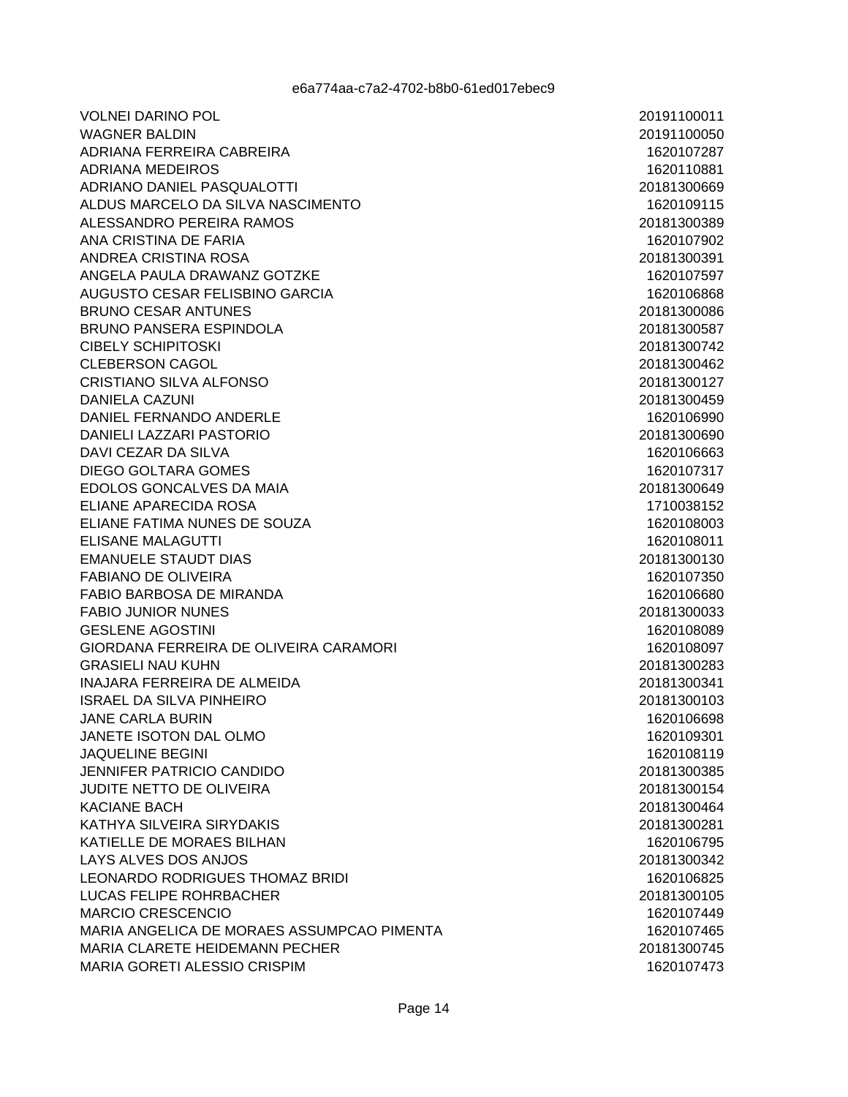**VOLNEI DARINO POL WAGNER BALDIN** ADRIANA FERREIRA CABREIRA **ADRIANA MEDEIROS** ADRIANO DANIEL PASQUALOTTI ALDUS MARCELO DA SILVA NASCIMENTO ALESSANDRO PEREIRA RAMOS ANA CRISTINA DE FARIA ANDREA CRISTINA ROSA ANGELA PAULA DRAWANZ GOTZKE AUGUSTO CESAR FELISBINO GARCIA **BRUNO CESAR ANTUNES BRUNO PANSERA ESPINDOLA CIBELY SCHIPITOSKI CLEBERSON CAGOL** CRISTIANO SILVA ALFONSO **DANIELA CAZUNI** DANIEL FERNANDO ANDERLE DANIELI LAZZARI PASTORIO DAVI CEZAR DA SILVA **DIEGO GOLTARA GOMES** EDOLOS GONCALVES DA MAIA ELIANE APARECIDA ROSA ELIANE FATIMA NUNES DE SOUZA **ELISANE MALAGUTTI EMANUELE STAUDT DIAS FABIANO DE OLIVEIRA** FABIO BARBOSA DE MIRANDA **FABIO JUNIOR NUNES GESLENE AGOSTINI** GIORDANA FERREIRA DE OLIVEIRA CARAMORI **GRASIELI NAU KUHN INAJARA FERREIRA DE ALMEIDA ISRAEL DA SILVA PINHEIRO JANE CARLA BURIN** JANETE ISOTON DAL OLMO **JAQUELINE BEGINI JENNIFER PATRICIO CANDIDO** JUDITE NETTO DE OLIVEIRA **KACIANE BACH** KATHYA SILVEIRA SIRYDAKIS KATIELLE DE MORAES BILHAN LAYS ALVES DOS ANJOS LEONARDO RODRIGUES THOMAZ BRIDI **LUCAS FELIPE ROHRBACHER MARCIO CRESCENCIO** MARIA ANGELICA DE MORAES ASSUMPCAO PIMENTA MARIA CLARETE HEIDEMANN PECHER **MARIA GORETI ALESSIO CRISPIM**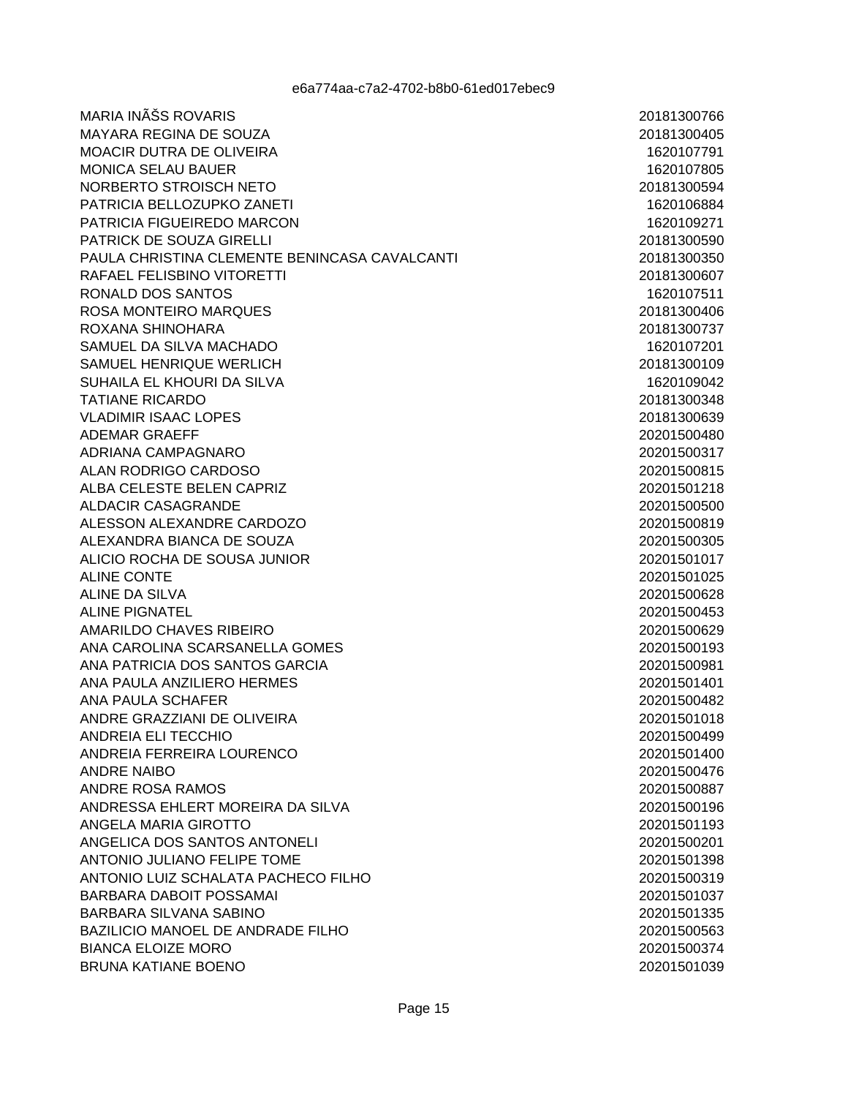MARIA INÊS ROVARIS **MAYARA REGINA DE SOUZA** MOACIR DUTRA DE OLIVEIRA **MONICA SELAU BAUER** NORBERTO STROISCH NETO PATRICIA BELLOZUPKO ZANETI PATRICIA FIGUEIREDO MARCON **PATRICK DE SOUZA GIRELLI** PAULA CHRISTINA CLEMENTE BENINCASA CAVALCANTI RAFAEL FELISBINO VITORETTI RONALD DOS SANTOS ROSA MONTEIRO MAROUES ROXANA SHINOHARA SAMUEL DA SILVA MACHADO SAMUEL HENRIOUE WERLICH SUHAILA EL KHOURI DA SILVA **TATIANE RICARDO VLADIMIR ISAAC LOPES ADEMAR GRAEFF** ADRIANA CAMPAGNARO ALAN RODRIGO CARDOSO ALBA CELESTE BELEN CAPRIZ **ALDACIR CASAGRANDE** ALESSON ALEXANDRE CARDOZO ALEXANDRA BIANCA DE SOUZA ALICIO ROCHA DE SOUSA JUNIOR **ALINE CONTE** ALINE DA SILVA ALINE PIGNATEL AMARILDO CHAVES RIBEIRO ANA CAROLINA SCARSANELLA GOMES ANA PATRICIA DOS SANTOS GARCIA ANA PAULA ANZILIERO HERMES ANA PAULA SCHAFER ANDRE GRAZZIANI DE OLIVEIRA ANDREIA ELI TECCHIO ANDREIA FERREIRA LOURENCO **ANDRE NAIBO** ANDRE ROSA RAMOS ANDRESSA EHLERT MOREIRA DA SILVA ANGELA MARIA GIROTTO ANGELICA DOS SANTOS ANTONELI ANTONIO JULIANO FELIPE TOME ANTONIO LUIZ SCHALATA PACHECO FILHO **BARBARA DABOIT POSSAMAI BARBARA SILVANA SABINO** BAZILICIO MANOEL DE ANDRADE FILHO **BIANCA ELOIZE MORO BRUNA KATIANE BOENO**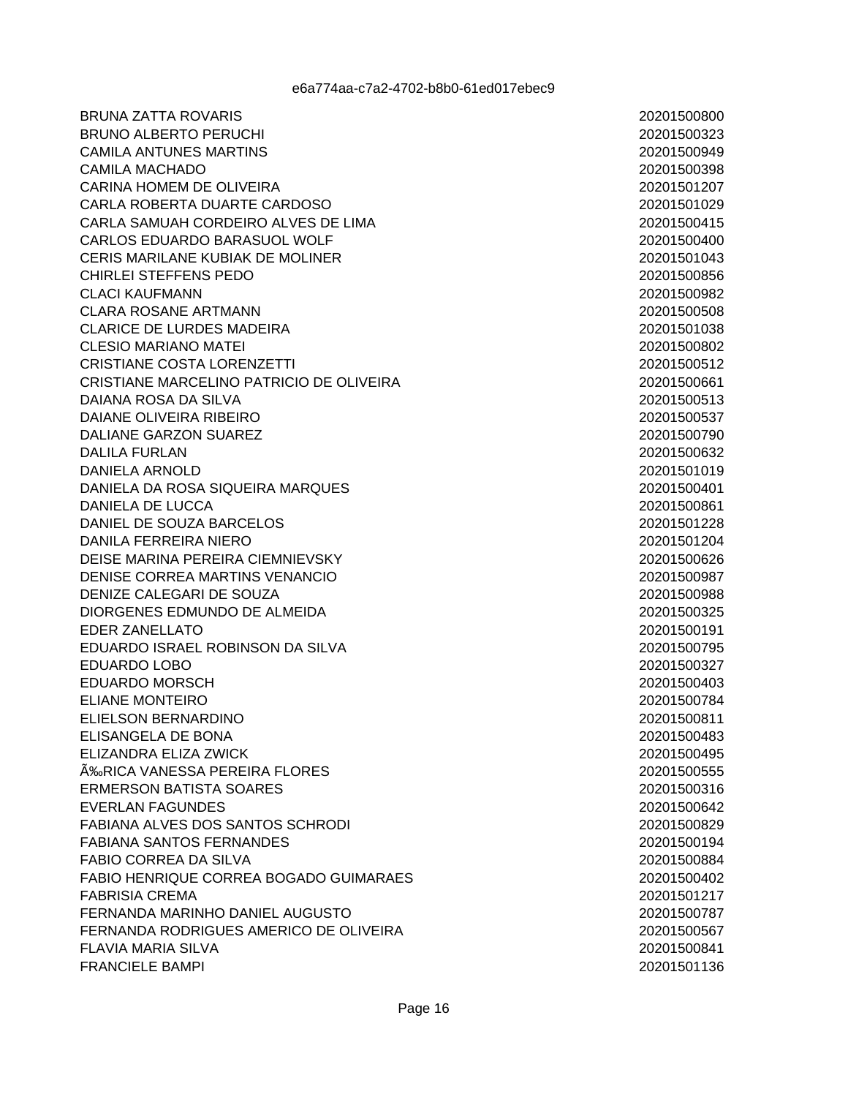**BRUNA ZATTA ROVARIS BRUNO ALBERTO PERUCHI CAMILA ANTUNES MARTINS CAMILA MACHADO** CARINA HOMEM DE OLIVEIRA CARLA ROBERTA DUARTE CARDOSO CARLA SAMUAH CORDEIRO ALVES DE LIMA **CARLOS EDUARDO BARASUOL WOLF** CERIS MARILANE KUBIAK DE MOLINER CHIRLEI STEFFENS PEDO CLACLKAUFMANN **CLARA ROSANE ARTMANN CLARICE DE LURDES MADEIRA CLESIO MARIANO MATEI CRISTIANE COSTA LORENZETTI** CRISTIANE MARCELINO PATRICIO DE OLIVEIRA DAIANA ROSA DA SILVA DAIANE OLIVEIRA RIBEIRO DALIANE GARZON SUAREZ **DALILA FURLAN DANIELA ARNOLD** DANIELA DA ROSA SIQUEIRA MARQUES **DANIELA DE LUCCA** DANIEL DE SOUZA BARCELOS **DANILA FERREIRA NIERO** DEISE MARINA PEREIRA CIEMNIEVSKY DENISE CORREA MARTINS VENANCIO DENIZE CALEGARI DE SOUZA DIORGENES EDMUNDO DE ALMEIDA **EDER ZANELLATO** EDUARDO ISRAEL ROBINSON DA SILVA **EDUARDO LOBO EDUARDO MORSCH ELIANE MONTEIRO** ELIELSON BERNARDINO ELISANGELA DE BONA ELIZANDRA ELIZA ZWICK ÉRICA VANESSA PEREIRA FLORES **ERMERSON BATISTA SOARES EVERLAN FAGUNDES** FABIANA ALVES DOS SANTOS SCHRODI **FABIANA SANTOS FERNANDES** FABIO CORREA DA SILVA FABIO HENRIOUE CORREA BOGADO GUIMARAES **FABRISIA CREMA** FERNANDA MARINHO DANIEL AUGUSTO FERNANDA RODRIGUES AMERICO DE OLIVEIRA **FLAVIA MARIA SILVA FRANCIELE BAMPI**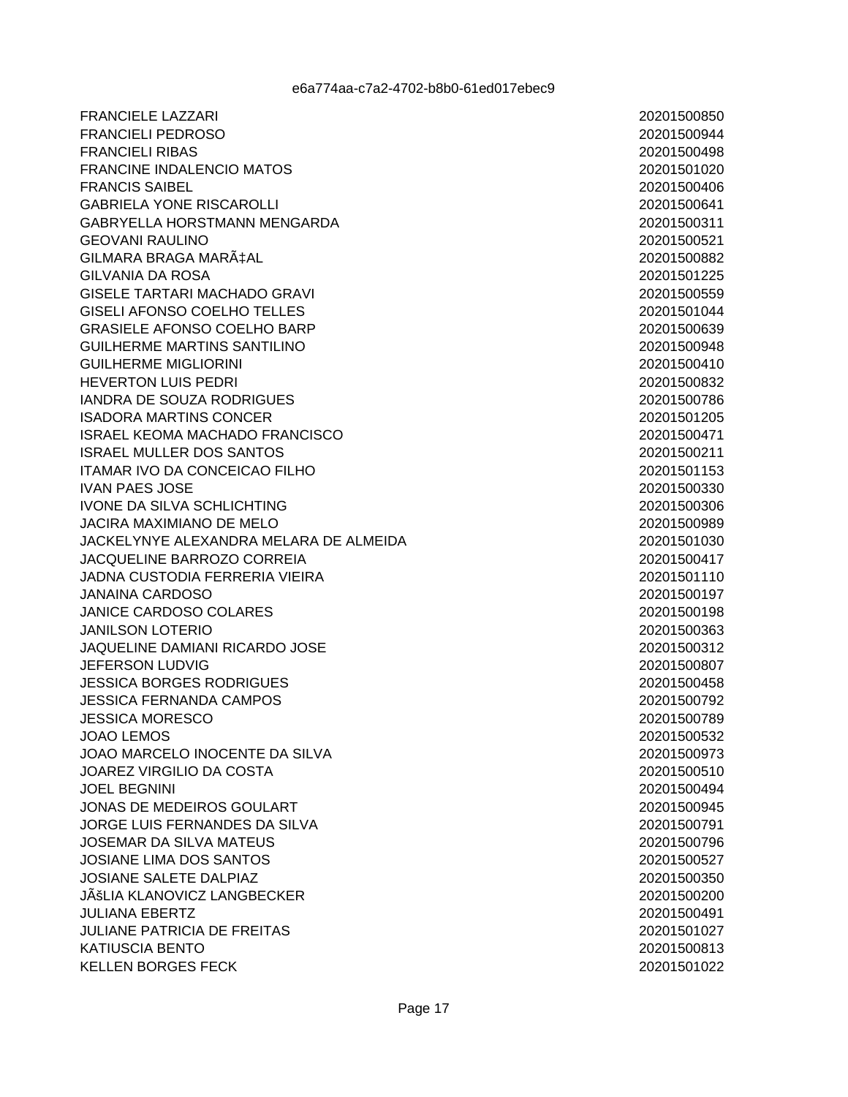**FRANCIELE LAZZARI FRANCIELI PEDROSO FRANCIELI RIBAS FRANCINE INDALENCIO MATOS FRANCIS SAIBEL GABRIELA YONE RISCAROLLI** GABRYELLA HORSTMANN MENGARDA **GEOVANI RAULINO** GILMARA BRAGA MARÇAL **GILVANIA DA ROSA** GISELE TARTARI MACHADO GRAVI **GISELI AFONSO COELHO TELLES GRASIELE AFONSO COELHO BARP GUILHERME MARTINS SANTILINO GUILHERME MIGLIORINI HEVERTON LUIS PEDRI IANDRA DE SOUZA RODRIGUES ISADORA MARTINS CONCER ISRAEL KEOMA MACHADO FRANCISCO ISRAEL MULLER DOS SANTOS** ITAMAR IVO DA CONCEICAO FILHO **IVAN PAES JOSE IVONE DA SILVA SCHLICHTING JACIRA MAXIMIANO DE MELO** JACKELYNYE ALEXANDRA MELARA DE ALMEIDA **JACOUELINE BARROZO CORREIA JADNA CUSTODIA FERRERIA VIEIRA JANAINA CARDOSO JANICE CARDOSO COLARES JANILSON LOTERIO** JAQUELINE DAMIANI RICARDO JOSE **JEFERSON LUDVIG JESSICA BORGES RODRIGUES JESSICA FERNANDA CAMPOS JESSICA MORESCO** JOAO LEMOS JOAO MARCELO INOCENTE DA SILVA **JOAREZ VIRGILIO DA COSTA JOEL BEGNINI** JONAS DE MEDEIROS GOULART JORGE LUIS FERNANDES DA SILVA JOSEMAR DA SILVA MATEUS **JOSIANE LIMA DOS SANTOS JOSIANE SALETE DALPIAZ** JÊLIA KLANOVICZ LANGBECKER **JULIANA EBERTZ JULIANE PATRICIA DE FREITAS KATIUSCIA BENTO KELLEN BORGES FECK**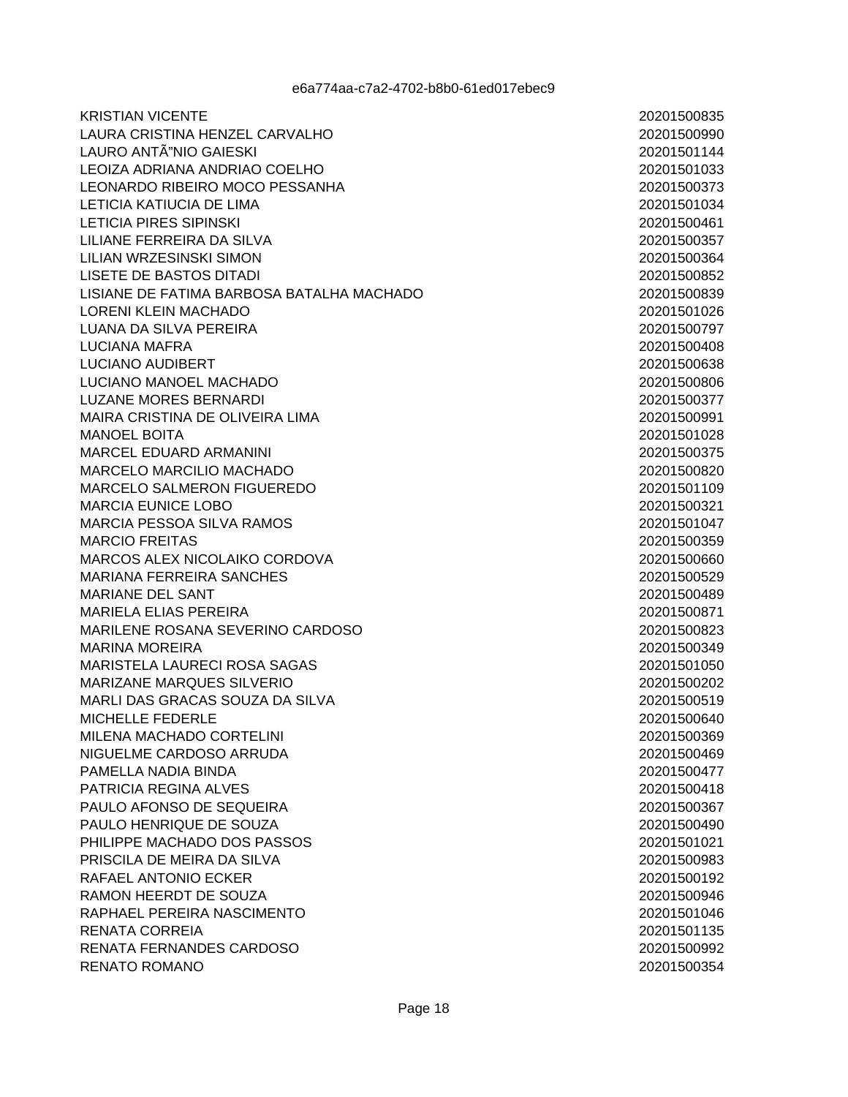**KRISTIAN VICENTE** LAURA CRISTINA HENZEL CARVALHO LAURO ANTÃ"NIO GAIESKI LEOIZA ADRIANA ANDRIAO COELHO LEONARDO RIBEIRO MOCO PESSANHA **LETICIA KATIUCIA DE LIMA LETICIA PIRES SIPINSKI** LILIANE FERREIRA DA SILVA LILIAN WRZESINSKI SIMON **LISETE DE BASTOS DITADI LISIANE DE FATIMA BARBOSA BATALHA MACHADO LORENI KLEIN MACHADO** LUANA DA SILVA PEREIRA **LUCIANA MAFRA LUCIANO AUDIBERT** LUCIANO MANOEL MACHADO **LUZANE MORES BERNARDI** MAIRA CRISTINA DE OLIVEIRA LIMA **MANOEL BOITA MARCEL EDUARD ARMANINI MARCELO MARCILIO MACHADO** MARCELO SALMERON FIGUEREDO **MARCIA EUNICE LOBO MARCIA PESSOA SILVA RAMOS MARCIO FREITAS** MARCOS ALEX NICOLAIKO CORDOVA **MARIANA FERREIRA SANCHES MARIANE DEL SANT MARIELA ELIAS PEREIRA** MARILENE ROSANA SEVERINO CARDOSO **MARINA MOREIRA MARISTELA LAURECI ROSA SAGAS** MARIZANE MARQUES SILVERIO MARLI DAS GRACAS SOUZA DA SILVA MICHELLE FEDERLE MILENA MACHADO CORTELINI NIGUELME CARDOSO ARRUDA PAMELLA NADIA BINDA PATRICIA REGINA ALVES PAULO AFONSO DE SEQUEIRA PAULO HENRIQUE DE SOUZA PHILIPPE MACHADO DOS PASSOS PRISCILA DE MEIRA DA SILVA RAFAEL ANTONIO ECKER **RAMON HEERDT DE SOUZA** RAPHAEL PEREIRA NASCIMENTO RENATA CORREIA **RENATA FERNANDES CARDOSO RENATO ROMANO**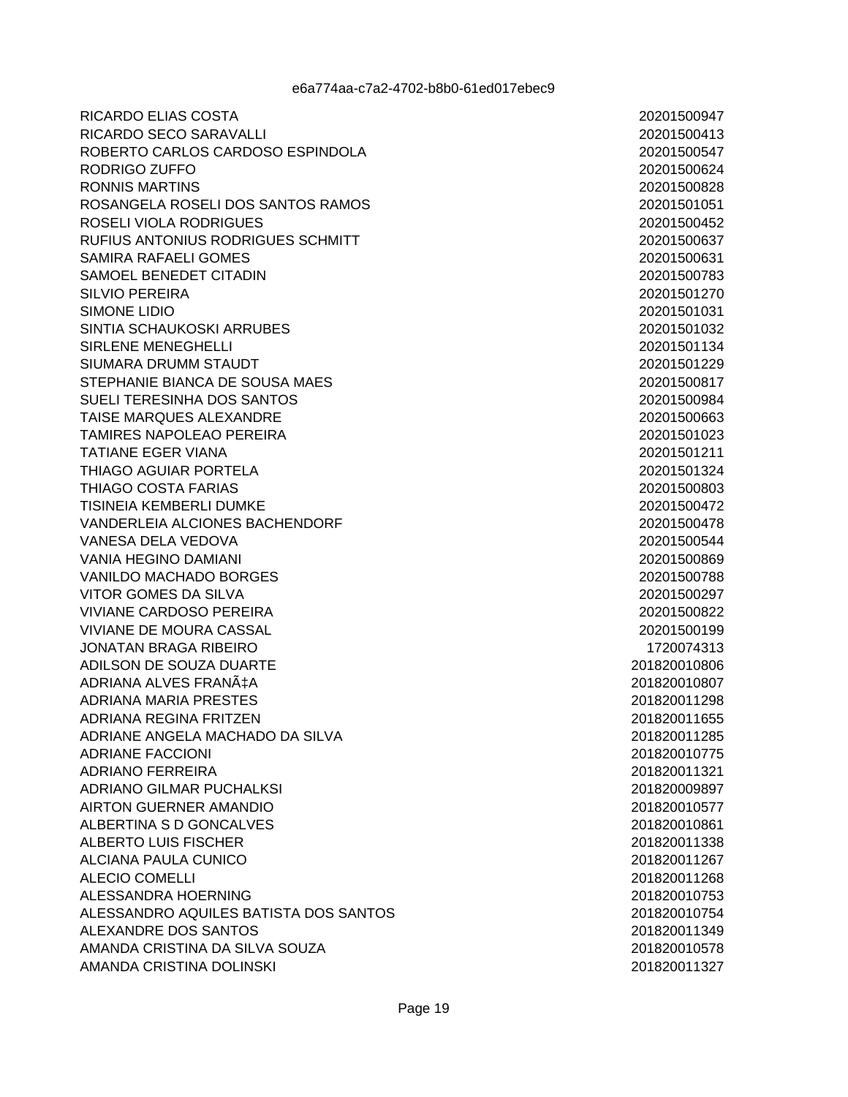**RICARDO ELIAS COSTA** RICARDO SECO SARAVALLI ROBERTO CARLOS CARDOSO ESPINDOLA RODRIGO ZUFFO RONNIS MARTINS ROSANGELA ROSELI DOS SANTOS RAMOS ROSELI VIOLA RODRIGUES **RUFIUS ANTONIUS RODRIGUES SCHMITT** SAMIRA RAFAELI GOMES SAMOEL BENEDET CITADIN SILVIO PERFIRA **SIMONE LIDIO** SINTIA SCHAUKOSKI ARRUBES SIRLENE MENEGHELLI SIUMARA DRUMM STAUDT STEPHANIE BIANCA DE SOUSA MAES SUELI TERESINHA DOS SANTOS TAISE MARQUES ALEXANDRE **TAMIRES NAPOLEAO PEREIRA TATIANE EGER VIANA THIAGO AGUIAR PORTELA** THIAGO COSTA FARIAS **TISINEIA KEMBERLI DUMKE VANDERLEIA ALCIONES BACHENDORF** VANESA DELA VEDOVA **VANIA HEGINO DAMIANI VANILDO MACHADO BORGES** VITOR GOMES DA SILVA **VIVIANE CARDOSO PEREIRA** VIVIANE DE MOURA CASSAL **JONATAN BRAGA RIBEIRO** ADILSON DE SOUZA DUARTE ADRIANA ALVES FRANÇA **ADRIANA MARIA PRESTES** ADRIANA REGINA FRITZEN ADRIANE ANGELA MACHADO DA SILVA **ADRIANE FACCIONI ADRIANO FERREIRA** ADRIANO GILMAR PUCHALKSI **AIRTON GUERNER AMANDIO** ALBERTINA S D GONCALVES ALBERTO LUIS FISCHER **ALCIANA PAULA CUNICO ALECIO COMELLI** ALESSANDRA HOERNING ALESSANDRO AQUILES BATISTA DOS SANTOS ALEXANDRE DOS SANTOS AMANDA CRISTINA DA SILVA SOUZA AMANDA CRISTINA DOLINSKI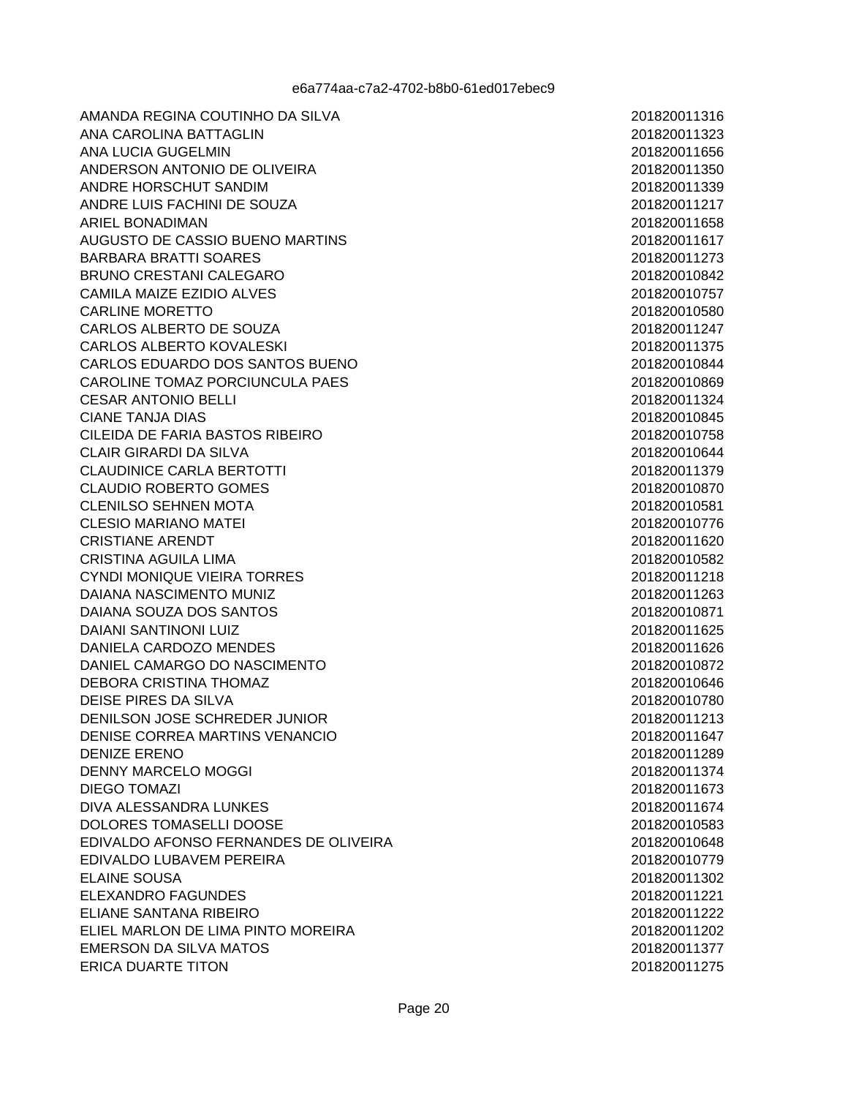AMANDA REGINA COUTINHO DA SILVA ANA CAROLINA BATTAGLIN ANA LUCIA GUGELMIN ANDERSON ANTONIO DE OLIVEIRA ANDRE HORSCHUT SANDIM ANDRE LUIS FACHINI DE SOUZA ARIEL BONADIMAN AUGUSTO DE CASSIO BUENO MARTINS **BARBARA BRATTI SOARES BRUNO CRESTANI CALEGARO** CAMILA MAIZE EZIDIO AI VES **CARLINE MORETTO** CARLOS ALBERTO DE SOUZA **CARLOS ALBERTO KOVALESKI** CARLOS EDUARDO DOS SANTOS BUENO CAROLINE TOMAZ PORCIUNCULA PAES **CESAR ANTONIO BELLI CIANE TANJA DIAS** CILEIDA DE FARIA BASTOS RIBEIRO **CLAIR GIRARDI DA SILVA CLAUDINICE CARLA BERTOTTI CLAUDIO ROBERTO GOMES CLENILSO SEHNEN MOTA** CLESIO MARIANO MATEL **CRISTIANE ARENDT CRISTINA AGUILA LIMA** CYNDI MONIQUE VIEIRA TORRES DAIANA NASCIMENTO MUNIZ DAIANA SOUZA DOS SANTOS **DAIANI SANTINONI LUIZ** DANIELA CARDOZO MENDES DANIEL CAMARGO DO NASCIMENTO **DEBORA CRISTINA THOMAZ** DEISE PIRES DA SILVA DENILSON JOSE SCHREDER JUNIOR DENISE CORREA MARTINS VENANCIO **DENIZE ERENO DENNY MARCELO MOGGI DIEGO TOMAZI** DIVA ALESSANDRA LUNKES DOLORES TOMASELLI DOOSE EDIVALDO AFONSO FERNANDES DE OLIVEIRA EDIVALDO LUBAVEM PEREIRA **ELAINE SOUSA ELEXANDRO FAGUNDES ELIANE SANTANA RIBEIRO** ELIEL MARLON DE LIMA PINTO MOREIRA **EMERSON DA SILVA MATOS ERICA DUARTE TITON**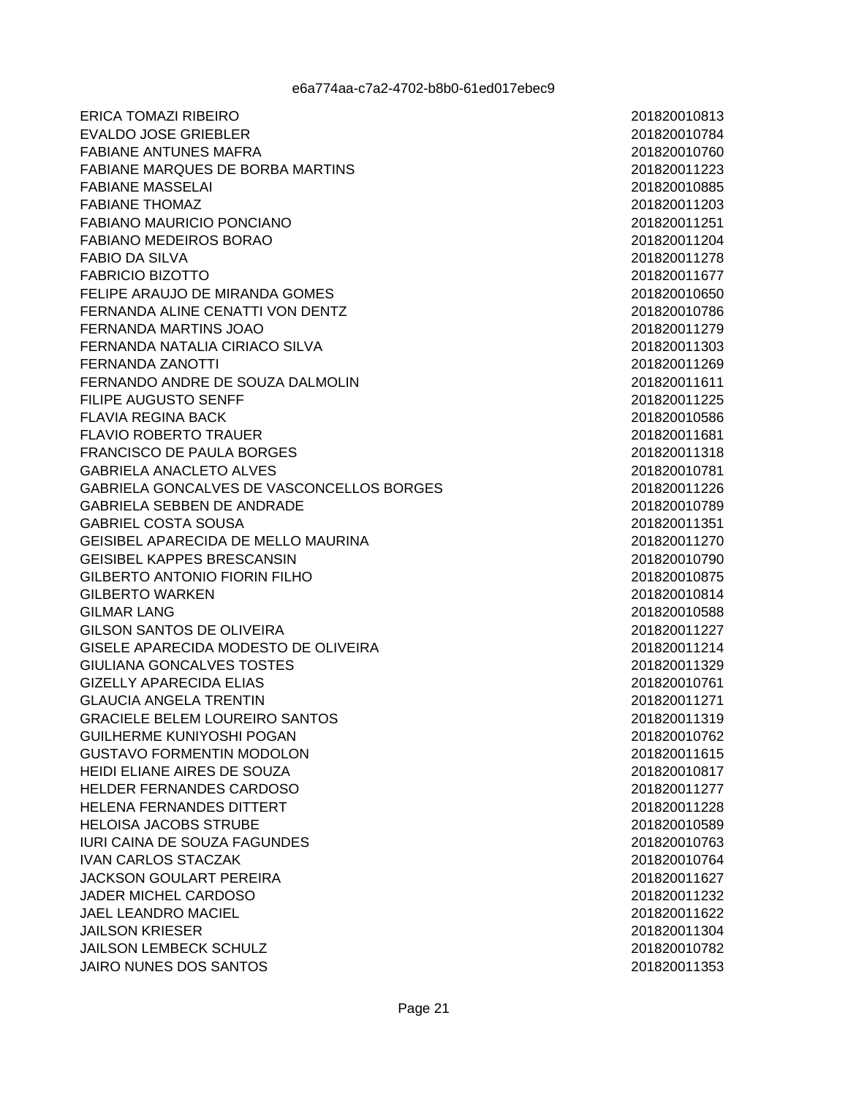**ERICA TOMAZI RIBEIRO EVALDO JOSE GRIEBLER FABIANE ANTUNES MAFRA** FABIANE MARQUES DE BORBA MARTINS **FABIANE MASSELAI FABIANE THOMAZ** FABIANO MAURICIO PONCIANO **FABIANO MEDEIROS BORAO FABIO DA SILVA FABRICIO BIZOTTO** FFLIPE ARAUJO DE MIRANDA GOMES FERNANDA ALINE CENATTI VON DENTZ FERNANDA MARTINS JOAO FERNANDA NATALIA CIRIACO SILVA **FERNANDA ZANOTTI** FERNANDO ANDRE DE SOUZA DALMOLIN FILIPE AUGUSTO SENFF **FLAVIA REGINA BACK FLAVIO ROBERTO TRAUER FRANCISCO DE PAULA BORGES GABRIELA ANACLETO ALVES** GABRIELA GONCALVES DE VASCONCELLOS BORGES **GABRIELA SEBBEN DE ANDRADE GABRIEL COSTA SOUSA GEISIBEL APARECIDA DE MELLO MAURINA GEISIBEL KAPPES BRESCANSIN GILBERTO ANTONIO FIORIN FILHO GILBERTO WARKEN GILMAR LANG GILSON SANTOS DE OLIVEIRA GISELE APARECIDA MODESTO DE OLIVEIRA** GIULIANA GONCALVES TOSTES **GIZELLY APARECIDA ELIAS GLAUCIA ANGELA TRENTIN GRACIELE BELEM LOUREIRO SANTOS GUILHERME KUNIYOSHI POGAN GUSTAVO FORMENTIN MODOLON** HEIDI ELIANE AIRES DE SOUZA **HELDER FERNANDES CARDOSO HELENA FERNANDES DITTERT HELOISA JACOBS STRUBE IURI CAINA DE SOUZA FAGUNDES IVAN CARLOS STACZAK JACKSON GOULART PEREIRA JADER MICHEL CARDOSO JAEL LEANDRO MACIEL JAILSON KRIESER JAILSON LEMBECK SCHULZ JAIRO NUNES DOS SANTOS**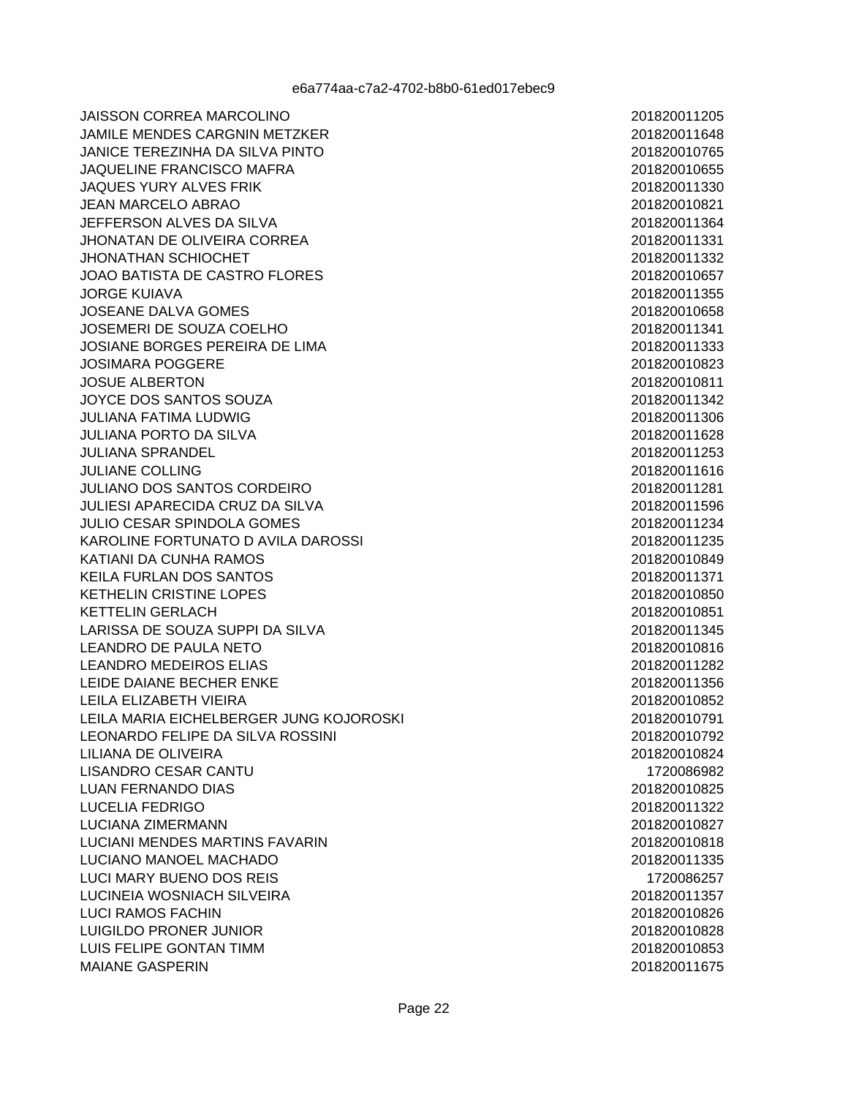**JAISSON CORREA MARCOLINO JAMILE MENDES CARGNIN METZKER** JANICE TEREZINHA DA SILVA PINTO JAQUELINE FRANCISCO MAFRA JAQUES YURY ALVES FRIK **JEAN MARCELO ABRAO** JEFFERSON ALVES DA SILVA **JHONATAN DE OLIVEIRA CORREA JHONATHAN SCHIOCHET** JOAO BATISTA DE CASTRO FLORES JORGE KUJAVA **JOSEANE DALVA GOMES** JOSEMERI DE SOUZA COELHO JOSIANE BORGES PEREIRA DE LIMA **JOSIMARA POGGERE JOSUE ALBERTON** JOYCE DOS SANTOS SOUZA **JULIANA FATIMA LUDWIG JULIANA PORTO DA SILVA JULIANA SPRANDEL JULIANE COLLING** JULIANO DOS SANTOS CORDEIRO **JULIESI APARECIDA CRUZ DA SILVA JULIO CESAR SPINDOLA GOMES** KAROLINE FORTUNATO D AVILA DAROSSI KATIANI DA CUNHA RAMOS **KEILA FURLAN DOS SANTOS KETHELIN CRISTINE LOPES KETTELIN GERLACH** LARISSA DE SOUZA SUPPI DA SILVA **LEANDRO DE PAULA NETO LEANDRO MEDEIROS ELIAS** LEIDE DAIANE BECHER ENKE LEILA ELIZABETH VIEIRA LEILA MARIA EICHELBERGER JUNG KOJOROSKI LEONARDO FELIPE DA SILVA ROSSINI LILIANA DE OLIVEIRA **LISANDRO CESAR CANTU LUAN FERNANDO DIAS** LUCELIA FEDRIGO **LUCIANA ZIMERMANN** LUCIANI MENDES MARTINS FAVARIN LUCIANO MANOEL MACHADO **LUCI MARY BUENO DOS REIS** LUCINEIA WOSNIACH SILVEIRA **LUCI RAMOS FACHIN** LUIGILDO PRONER JUNIOR LUIS FELIPE GONTAN TIMM **MAIANE GASPERIN**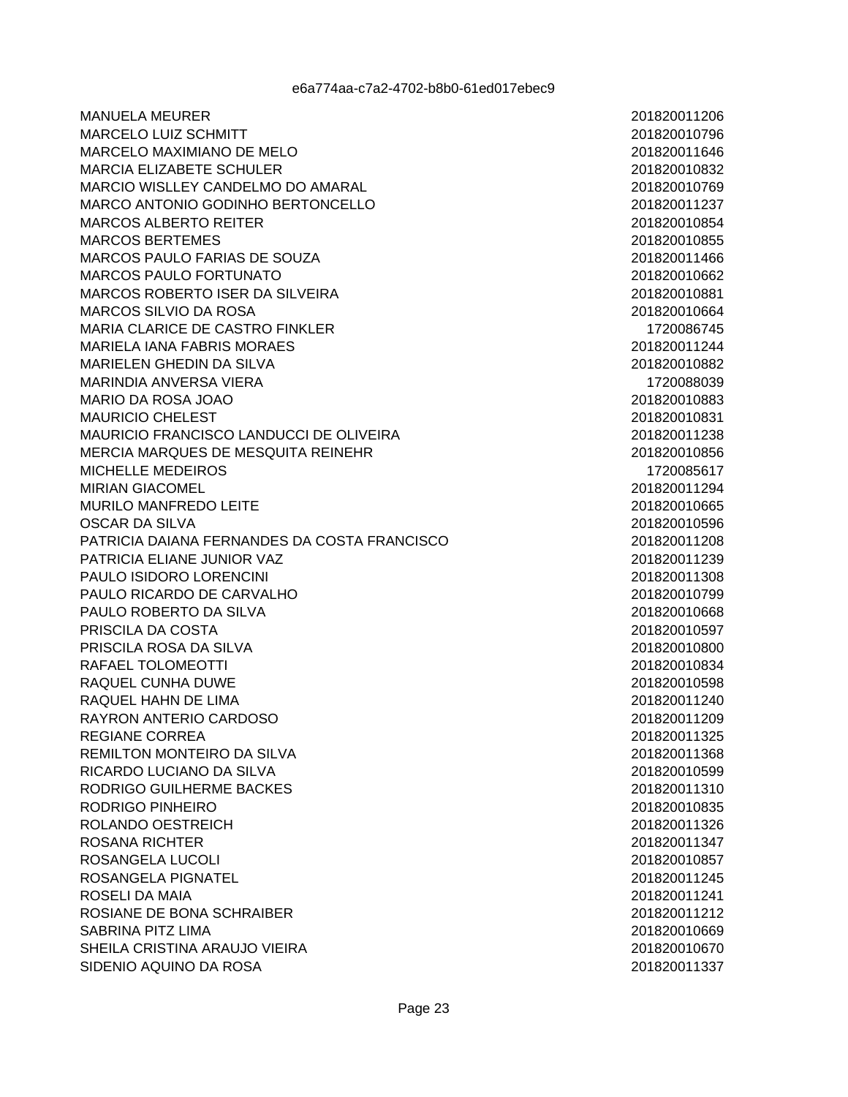**MANUELA MEURER MARCELO LUIZ SCHMITT** MARCELO MAXIMIANO DE MELO **MARCIA ELIZABETE SCHULER** MARCIO WISLLEY CANDELMO DO AMARAL MARCO ANTONIO GODINHO BERTONCELLO **MARCOS ALBERTO REITER MARCOS BERTEMES** MARCOS PAULO FARIAS DE SOUZA **MARCOS PAULO FORTUNATO** MARCOS ROBERTO ISER DA SILVEIRA **MARCOS SILVIO DA ROSA** MARIA CLARICE DE CASTRO FINKLER **MARIELA IANA FABRIS MORAES** MARIELEN GHEDIN DA SILVA MARINDIA ANVERSA VIERA MARIO DA ROSA JOAO **MAURICIO CHELEST** MAURICIO FRANCISCO LANDUCCI DE OLIVEIRA MERCIA MARQUES DE MESQUITA REINEHR MICHELLE MEDEIROS **MIRIAN GIACOMEL** MURILO MANFREDO LEITE **OSCAR DA SILVA** PATRICIA DAIANA FERNANDES DA COSTA FRANCISCO PATRICIA ELIANE JUNIOR VAZ PAULO ISIDORO LORENCINI PAULO RICARDO DE CARVALHO PAULO ROBERTO DA SILVA PRISCILA DA COSTA PRISCILA ROSA DA SILVA RAFAEL TOLOMEOTTI RAQUEL CUNHA DUWE RAQUEL HAHN DE LIMA RAYRON ANTERIO CARDOSO REGIANE CORREA REMILTON MONTEIRO DA SILVA RICARDO LUCIANO DA SILVA RODRIGO GUILHERME BACKES RODRIGO PINHEIRO ROLANDO OESTREICH **ROSANA RICHTER** ROSANGELA LUCOLI ROSANGELA PIGNATEL ROSELI DA MAIA ROSIANE DE BONA SCHRAIBER SABRINA PITZ LIMA SHEILA CRISTINA ARAUJO VIEIRA SIDENIO AQUINO DA ROSA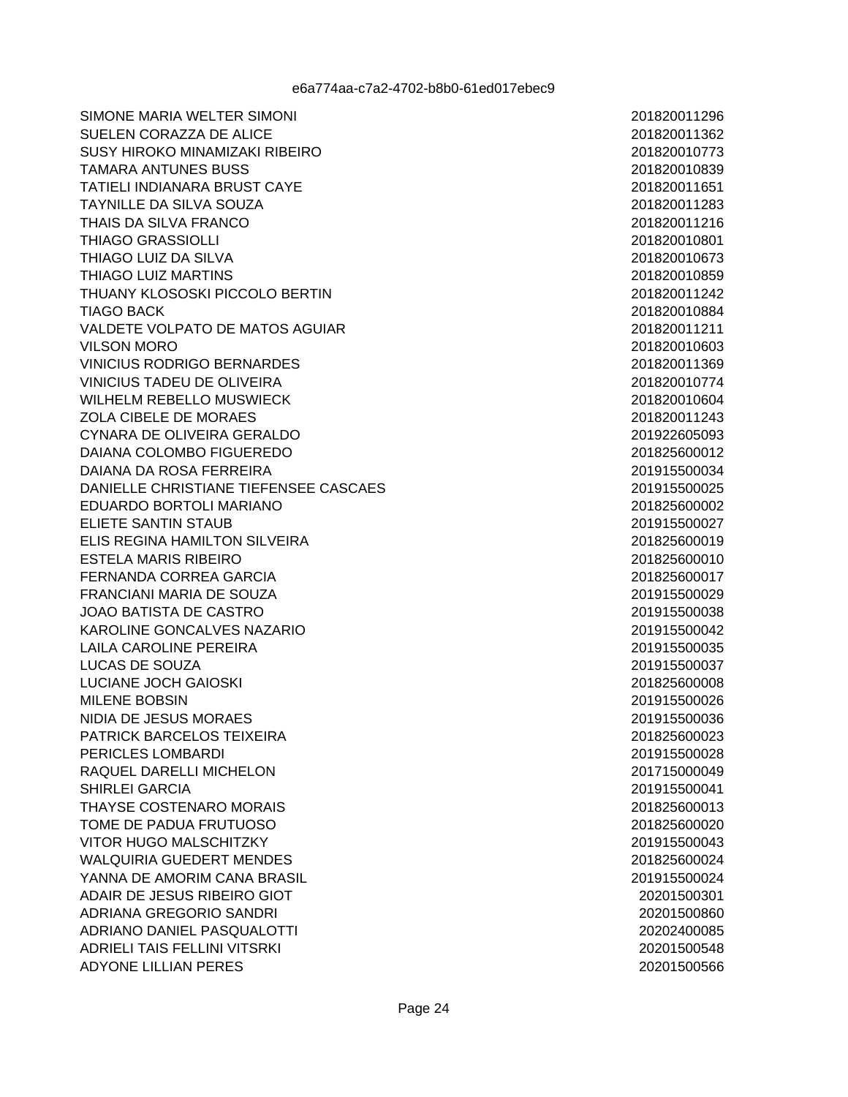SIMONE MARIA WELTER SIMONI SUELEN CORAZZA DE ALICE SUSY HIROKO MINAMIZAKI RIBEIRO **TAMARA ANTUNES BUSS TATIELI INDIANARA BRUST CAYE TAYNILLE DA SILVA SOUZA** THAIS DA SILVA FRANCO **THIAGO GRASSIOLLI** THIAGO LUIZ DA SILVA THIAGO LUIZ MARTINS THUANY KLOSOSKI PICCOLO BERTIN **TIAGO BACK** VALDETE VOLPATO DE MATOS AGUIAR **VILSON MORO VINICIUS RODRIGO BERNARDES** VINICIUS TADEU DE OLIVEIRA WILHELM REBELLO MUSWIECK ZOLA CIBELE DE MORAES CYNARA DE OLIVEIRA GERALDO DAIANA COLOMBO FIGUEREDO DAIANA DA ROSA FERREIRA DANIELLE CHRISTIANE TIEFENSEE CASCAES EDUARDO BORTOLI MARIANO ELIETE SANTIN STAUB ELIS REGINA HAMILTON SILVEIRA **ESTELA MARIS RIBEIRO** FERNANDA CORREA GARCIA FRANCIANI MARIA DE SOUZA **JOAO BATISTA DE CASTRO** KAROLINE GONCALVES NAZARIO **LAILA CAROLINE PEREIRA** LUCAS DE SOUZA **LUCIANE JOCH GAIOSKI MILENE BOBSIN** NIDIA DE JESUS MORAES PATRICK BARCELOS TEIXEIRA PERICLES LOMBARDI RAOUEL DARELLI MICHELON **SHIRLEI GARCIA** THAYSE COSTENARO MORAIS TOME DE PADUA FRUTUOSO VITOR HUGO MALSCHITZKY **WALQUIRIA GUEDERT MENDES** YANNA DE AMORIM CANA BRASIL ADAIR DE JESUS RIBEIRO GIOT ADRIANA GREGORIO SANDRI ADRIANO DANIEL PASQUALOTTI ADRIELI TAIS FELLINI VITSRKI **ADYONE LILLIAN PERES**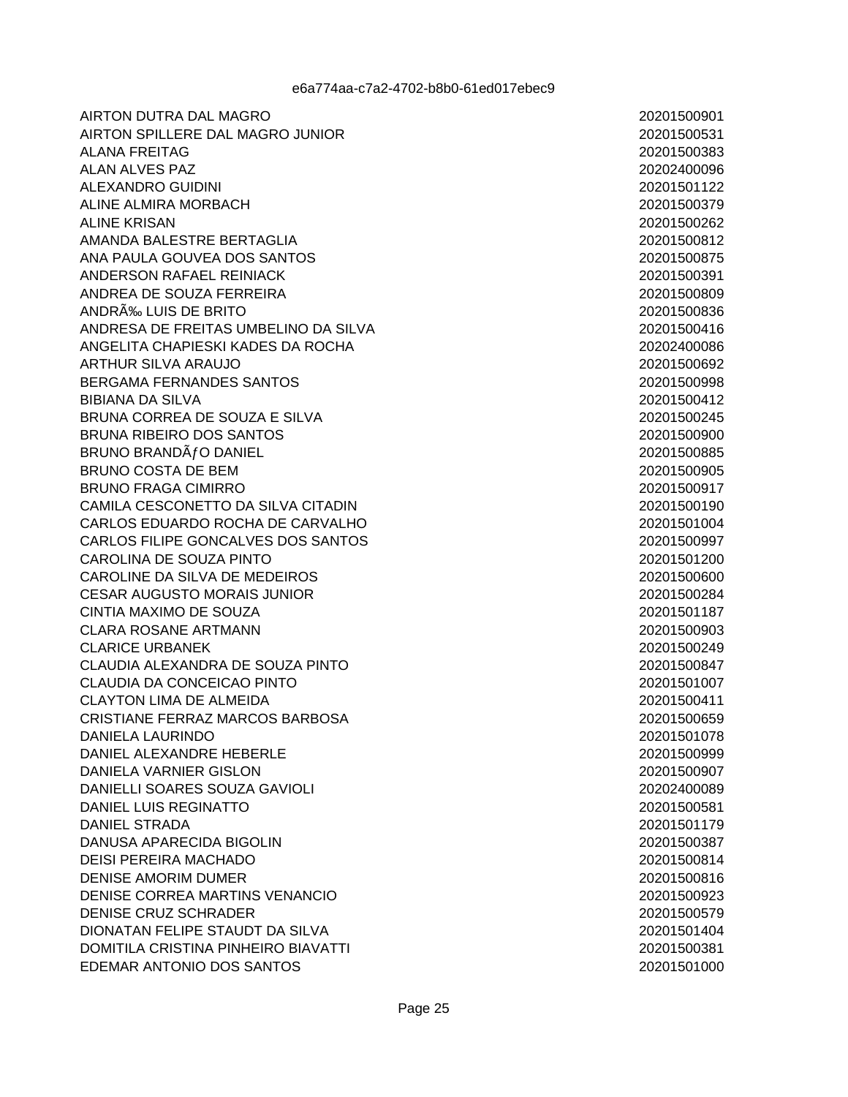**AIRTON DUTRA DAL MAGRO** AIRTON SPILLERE DAL MAGRO JUNIOR **ALANA FREITAG ALAN ALVES PAZ** ALEXANDRO GUIDINI ALINE ALMIRA MORBACH **ALINE KRISAN** AMANDA BALESTRE BERTAGLIA ANA PAULA GOUVEA DOS SANTOS ANDERSON RAFAEL REINIACK ANDREA DE SOUZA FERREIRA ANDRÉ LUIS DE BRITO ANDRESA DE FREITAS UMBELINO DA SILVA ANGELITA CHAPIESKI KADES DA ROCHA **ARTHUR SILVA ARAUJO** BERGAMA FERNANDES SANTOS **BIBIANA DA SILVA** BRUNA CORREA DE SOUZA E SILVA BRUNA RIBEIRO DOS SANTOS BRUNO BRANDATO DANIEL **BRUNO COSTA DE BEM BRUNO FRAGA CIMIRRO** CAMILA CESCONETTO DA SILVA CITADIN CARLOS EDUARDO ROCHA DE CARVALHO CARLOS FILIPE GONCALVES DOS SANTOS CAROLINA DE SOUZA PINTO CAROLINE DA SILVA DE MEDEIROS **CESAR AUGUSTO MORAIS JUNIOR** CINTIA MAXIMO DE SOUZA **CLARA ROSANE ARTMANN CLARICE URBANEK** CLAUDIA ALEXANDRA DE SOUZA PINTO CLAUDIA DA CONCEICAO PINTO **CLAYTON LIMA DE ALMEIDA** CRISTIANE FERRAZ MARCOS BARBOSA **DANIELA LAURINDO** DANIEL ALEXANDRE HEBERLE DANIELA VARNIER GISLON DANIELLI SOARES SOUZA GAVIOLI DANIEL LUIS REGINATTO **DANIEL STRADA** DANUSA APARECIDA BIGOLIN **DEISI PEREIRA MACHADO DENISE AMORIM DUMER** DENISE CORREA MARTINS VENANCIO **DENISE CRUZ SCHRADER** DIONATAN FELIPE STAUDT DA SILVA DOMITILA CRISTINA PINHEIRO BIAVATTI EDEMAR ANTONIO DOS SANTOS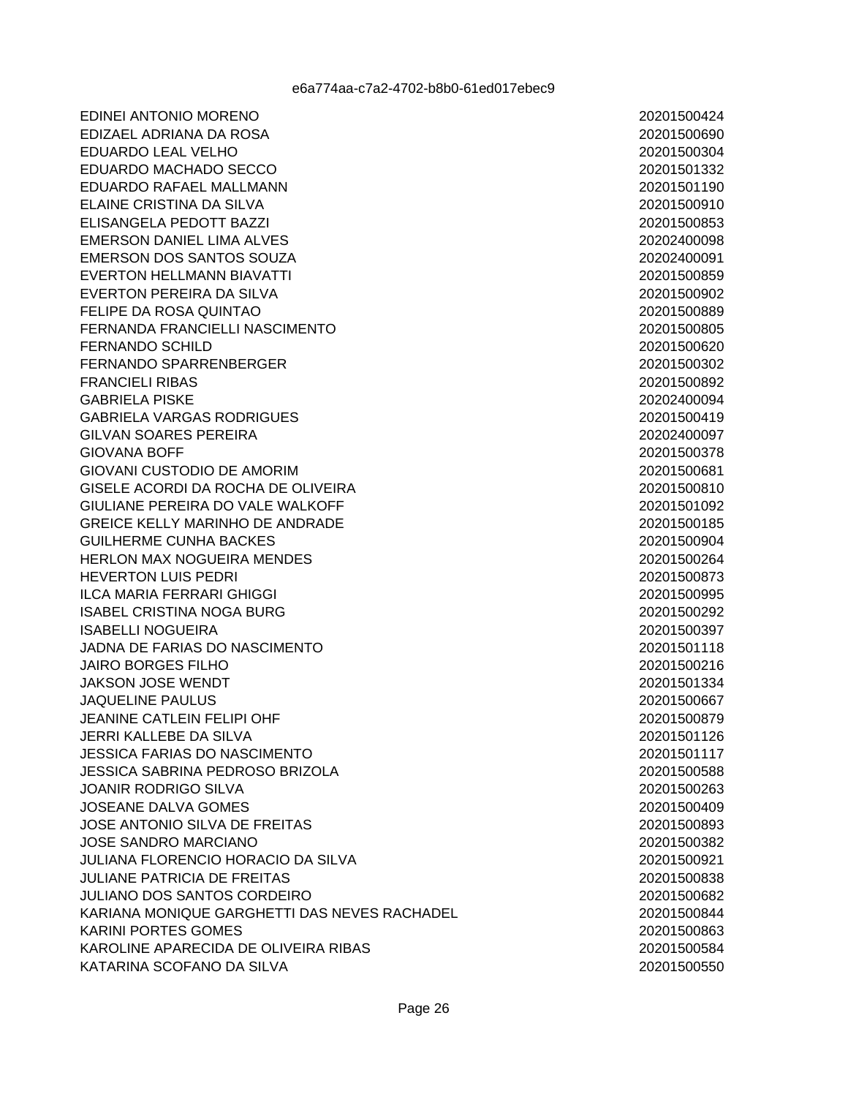EDINEI ANTONIO MORENO EDIZAEL ADRIANA DA ROSA EDUARDO LEAL VELHO EDUARDO MACHADO SECCO EDUARDO RAFAEL MALLMANN ELAINE CRISTINA DA SILVA ELISANGELA PEDOTT BAZZI **EMERSON DANIEL LIMA ALVES** EMERSON DOS SANTOS SOUZA **EVERTON HELLMANN BIAVATTI** EVERTON PEREIRA DA SILVA FELIPE DA ROSA OUINTAO FERNANDA FRANCIELLI NASCIMENTO **FERNANDO SCHILD** FERNANDO SPARRENBERGER **FRANCIELI RIBAS GABRIELA PISKE GABRIELA VARGAS RODRIGUES GILVAN SOARES PEREIRA GIOVANA BOFF GIOVANI CUSTODIO DE AMORIM** GISELE ACORDI DA ROCHA DE OLIVEIRA GIULIANE PEREIRA DO VALE WALKOFF **GREICE KELLY MARINHO DE ANDRADE GUILHERME CUNHA BACKES HERLON MAX NOGUEIRA MENDES HEVERTON LUIS PEDRI ILCA MARIA FERRARI GHIGGI ISABEL CRISTINA NOGA BURG** ISABELLI NOGUEIRA JADNA DE FARIAS DO NASCIMENTO **JAIRO BORGES FILHO JAKSON JOSE WENDT JAOUELINE PAULUS JEANINE CATLEIN FELIPI OHF JERRI KALLEBE DA SILVA JESSICA FARIAS DO NASCIMENTO JESSICA SABRINA PEDROSO BRIZOLA JOANIR RODRIGO SILVA JOSEANE DALVA GOMES** JOSE ANTONIO SILVA DE FREITAS **JOSE SANDRO MARCIANO JULIANA FLORENCIO HORACIO DA SILVA JULIANE PATRICIA DE FREITAS JULIANO DOS SANTOS CORDEIRO** KARIANA MONIQUE GARGHETTI DAS NEVES RACHADEL **KARINI PORTES GOMES** KAROLINE APARECIDA DE OLIVEIRA RIBAS KATARINA SCOFANO DA SILVA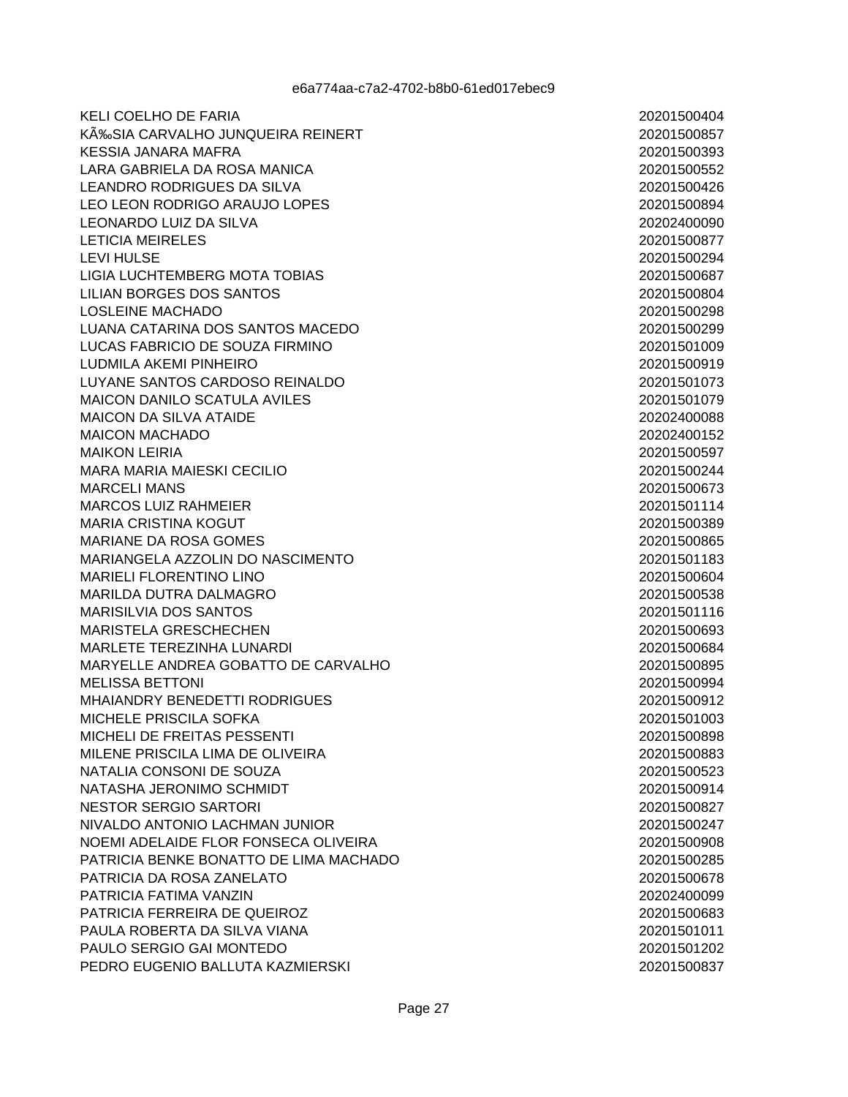**KELI COELHO DE FARIA** KÉSIA CARVALHO JUNQUEIRA REINERT **KESSIA JANARA MAFRA** LARA GABRIELA DA ROSA MANICA **LEANDRO RODRIGUES DA SILVA** LEO LEON RODRIGO ARAUJO LOPES LEONARDO LUIZ DA SILVA **LETICIA MEIRELES LEVI HULSE LIGIA LUCHTEMBERG MOTA TOBIAS I II IAN BORGES DOS SANTOS LOSLEINE MACHADO** LUANA CATARINA DOS SANTOS MACEDO LUCAS FABRICIO DE SOUZA FIRMINO **LUDMILA AKEMI PINHEIRO** LUYANE SANTOS CARDOSO REINALDO MAICON DANILO SCATULA AVILES **MAICON DA SILVA ATAIDE MAICON MACHADO MAIKON LEIRIA MARA MARIA MAIESKI CECILIO MARCELI MANS MARCOS LUIZ RAHMEIER MARIA CRISTINA KOGUT MARIANE DA ROSA GOMES** MARIANGELA AZZOLIN DO NASCIMENTO **MARIELI FLORENTINO LINO** MARILDA DUTRA DALMAGRO **MARISILVIA DOS SANTOS MARISTELA GRESCHECHEN MARLETE TEREZINHA LUNARDI** MARYELLE ANDREA GOBATTO DE CARVALHO **MELISSA BETTONI** MHAIANDRY BENEDETTI RODRIGUES MICHELE PRISCILA SOFKA MICHELI DE FREITAS PESSENTI MILENE PRISCILA LIMA DE OLIVEIRA NATALIA CONSONI DE SOUZA NATASHA JERONIMO SCHMIDT **NESTOR SERGIO SARTORI** NIVALDO ANTONIO LACHMAN JUNIOR NOEMI ADELAIDE FLOR FONSECA OLIVEIRA PATRICIA BENKE BONATTO DE LIMA MACHADO PATRICIA DA ROSA ZANELATO PATRICIA FATIMA VANZIN PATRICIA FERREIRA DE QUEIROZ PAULA ROBERTA DA SILVA VIANA PAULO SERGIO GAI MONTEDO PEDRO EUGENIO BALLUTA KAZMIERSKI